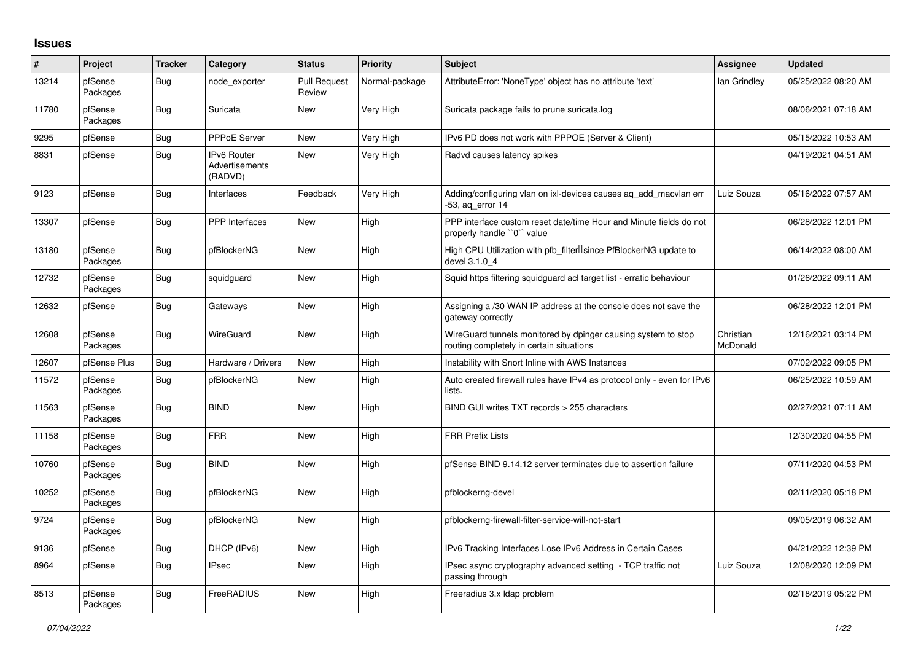## **Issues**

| #     | Project             | <b>Tracker</b> | Category                                        | <b>Status</b>                 | Priority       | <b>Subject</b>                                                                                            | <b>Assignee</b>       | <b>Updated</b>      |
|-------|---------------------|----------------|-------------------------------------------------|-------------------------------|----------------|-----------------------------------------------------------------------------------------------------------|-----------------------|---------------------|
| 13214 | pfSense<br>Packages | <b>Bug</b>     | node exporter                                   | <b>Pull Request</b><br>Review | Normal-package | AttributeError: 'NoneType' object has no attribute 'text'                                                 | lan Grindley          | 05/25/2022 08:20 AM |
| 11780 | pfSense<br>Packages | Bug            | Suricata                                        | New                           | Very High      | Suricata package fails to prune suricata.log                                                              |                       | 08/06/2021 07:18 AM |
| 9295  | pfSense             | Bug            | PPPoE Server                                    | <b>New</b>                    | Very High      | IPv6 PD does not work with PPPOE (Server & Client)                                                        |                       | 05/15/2022 10:53 AM |
| 8831  | pfSense             | Bug            | <b>IPv6 Router</b><br>Advertisements<br>(RADVD) | <b>New</b>                    | Very High      | Radvd causes latency spikes                                                                               |                       | 04/19/2021 04:51 AM |
| 9123  | pfSense             | <b>Bug</b>     | Interfaces                                      | Feedback                      | Very High      | Adding/configuring vlan on ixl-devices causes ag add macvlan err<br>-53, ag error 14                      | Luiz Souza            | 05/16/2022 07:57 AM |
| 13307 | pfSense             | Bug            | PPP Interfaces                                  | New                           | High           | PPP interface custom reset date/time Hour and Minute fields do not<br>properly handle "0" value           |                       | 06/28/2022 12:01 PM |
| 13180 | pfSense<br>Packages | <b>Bug</b>     | pfBlockerNG                                     | <b>New</b>                    | High           | High CPU Utilization with pfb filter Isince PfBlockerNG update to<br>devel 3.1.0 4                        |                       | 06/14/2022 08:00 AM |
| 12732 | pfSense<br>Packages | Bug            | squidguard                                      | <b>New</b>                    | High           | Squid https filtering squidguard acl target list - erratic behaviour                                      |                       | 01/26/2022 09:11 AM |
| 12632 | pfSense             | <b>Bug</b>     | Gateways                                        | <b>New</b>                    | High           | Assigning a /30 WAN IP address at the console does not save the<br>gateway correctly                      |                       | 06/28/2022 12:01 PM |
| 12608 | pfSense<br>Packages | <b>Bug</b>     | WireGuard                                       | New                           | High           | WireGuard tunnels monitored by dpinger causing system to stop<br>routing completely in certain situations | Christian<br>McDonald | 12/16/2021 03:14 PM |
| 12607 | pfSense Plus        | Bug            | Hardware / Drivers                              | New                           | High           | Instability with Snort Inline with AWS Instances                                                          |                       | 07/02/2022 09:05 PM |
| 11572 | pfSense<br>Packages | <b>Bug</b>     | pfBlockerNG                                     | <b>New</b>                    | High           | Auto created firewall rules have IPv4 as protocol only - even for IPv6<br>lists.                          |                       | 06/25/2022 10:59 AM |
| 11563 | pfSense<br>Packages | Bug            | <b>BIND</b>                                     | <b>New</b>                    | High           | BIND GUI writes TXT records > 255 characters                                                              |                       | 02/27/2021 07:11 AM |
| 11158 | pfSense<br>Packages | <b>Bug</b>     | <b>FRR</b>                                      | New                           | High           | <b>FRR Prefix Lists</b>                                                                                   |                       | 12/30/2020 04:55 PM |
| 10760 | pfSense<br>Packages | <b>Bug</b>     | <b>BIND</b>                                     | <b>New</b>                    | High           | pfSense BIND 9.14.12 server terminates due to assertion failure                                           |                       | 07/11/2020 04:53 PM |
| 10252 | pfSense<br>Packages | <b>Bug</b>     | pfBlockerNG                                     | New                           | High           | pfblockerng-devel                                                                                         |                       | 02/11/2020 05:18 PM |
| 9724  | pfSense<br>Packages | Bug            | pfBlockerNG                                     | New                           | High           | pfblockerng-firewall-filter-service-will-not-start                                                        |                       | 09/05/2019 06:32 AM |
| 9136  | pfSense             | <b>Bug</b>     | DHCP (IPv6)                                     | New                           | High           | IPv6 Tracking Interfaces Lose IPv6 Address in Certain Cases                                               |                       | 04/21/2022 12:39 PM |
| 8964  | pfSense             | <b>Bug</b>     | <b>IPsec</b>                                    | New                           | High           | IPsec async cryptography advanced setting - TCP traffic not<br>passing through                            | Luiz Souza            | 12/08/2020 12:09 PM |
| 8513  | pfSense<br>Packages | Bug            | FreeRADIUS                                      | <b>New</b>                    | High           | Freeradius 3.x Idap problem                                                                               |                       | 02/18/2019 05:22 PM |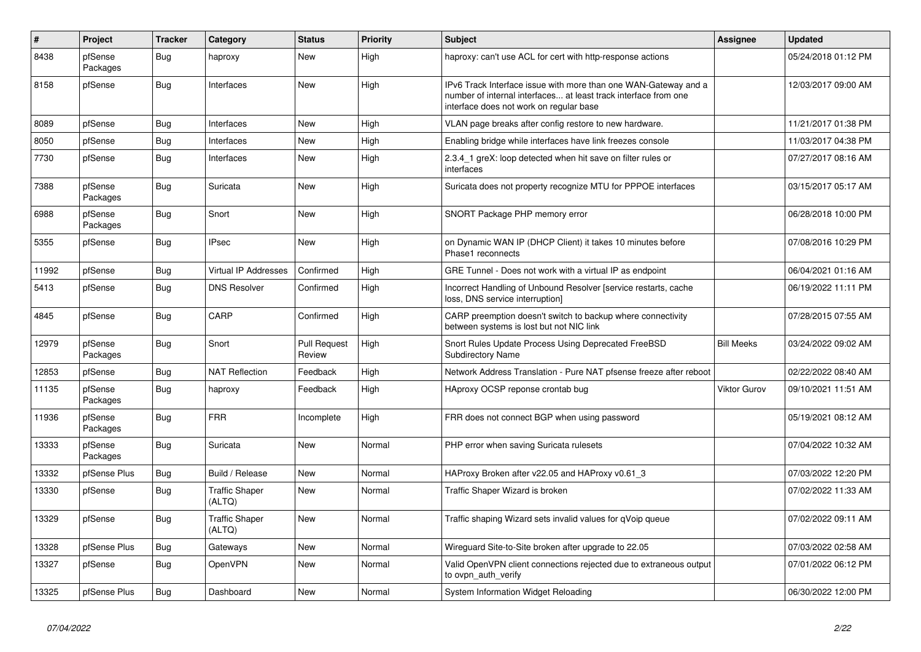| $\vert$ # | Project             | <b>Tracker</b> | Category                        | <b>Status</b>                 | Priority | <b>Subject</b>                                                                                                                                                                | <b>Assignee</b>     | <b>Updated</b>      |
|-----------|---------------------|----------------|---------------------------------|-------------------------------|----------|-------------------------------------------------------------------------------------------------------------------------------------------------------------------------------|---------------------|---------------------|
| 8438      | pfSense<br>Packages | Bug            | haproxy                         | New                           | High     | haproxy: can't use ACL for cert with http-response actions                                                                                                                    |                     | 05/24/2018 01:12 PM |
| 8158      | pfSense             | <b>Bug</b>     | Interfaces                      | <b>New</b>                    | High     | IPv6 Track Interface issue with more than one WAN-Gateway and a<br>number of internal interfaces at least track interface from one<br>interface does not work on regular base |                     | 12/03/2017 09:00 AM |
| 8089      | pfSense             | <b>Bug</b>     | Interfaces                      | New                           | High     | VLAN page breaks after config restore to new hardware.                                                                                                                        |                     | 11/21/2017 01:38 PM |
| 8050      | pfSense             | <b>Bug</b>     | Interfaces                      | <b>New</b>                    | High     | Enabling bridge while interfaces have link freezes console                                                                                                                    |                     | 11/03/2017 04:38 PM |
| 7730      | pfSense             | <b>Bug</b>     | Interfaces                      | <b>New</b>                    | High     | 2.3.4 1 greX: loop detected when hit save on filter rules or<br>interfaces                                                                                                    |                     | 07/27/2017 08:16 AM |
| 7388      | pfSense<br>Packages | Bug            | Suricata                        | New                           | High     | Suricata does not property recognize MTU for PPPOE interfaces                                                                                                                 |                     | 03/15/2017 05:17 AM |
| 6988      | pfSense<br>Packages | <b>Bug</b>     | Snort                           | <b>New</b>                    | High     | SNORT Package PHP memory error                                                                                                                                                |                     | 06/28/2018 10:00 PM |
| 5355      | pfSense             | <b>Bug</b>     | <b>IPsec</b>                    | New                           | High     | on Dynamic WAN IP (DHCP Client) it takes 10 minutes before<br>Phase1 reconnects                                                                                               |                     | 07/08/2016 10:29 PM |
| 11992     | pfSense             | Bug            | <b>Virtual IP Addresses</b>     | Confirmed                     | High     | GRE Tunnel - Does not work with a virtual IP as endpoint                                                                                                                      |                     | 06/04/2021 01:16 AM |
| 5413      | pfSense             | <b>Bug</b>     | <b>DNS Resolver</b>             | Confirmed                     | High     | Incorrect Handling of Unbound Resolver [service restarts, cache<br>loss, DNS service interruption]                                                                            |                     | 06/19/2022 11:11 PM |
| 4845      | pfSense             | <b>Bug</b>     | CARP                            | Confirmed                     | High     | CARP preemption doesn't switch to backup where connectivity<br>between systems is lost but not NIC link                                                                       |                     | 07/28/2015 07:55 AM |
| 12979     | pfSense<br>Packages | <b>Bug</b>     | Snort                           | <b>Pull Request</b><br>Review | High     | Snort Rules Update Process Using Deprecated FreeBSD<br><b>Subdirectory Name</b>                                                                                               | <b>Bill Meeks</b>   | 03/24/2022 09:02 AM |
| 12853     | pfSense             | Bug            | <b>NAT Reflection</b>           | Feedback                      | High     | Network Address Translation - Pure NAT pfsense freeze after reboot                                                                                                            |                     | 02/22/2022 08:40 AM |
| 11135     | pfSense<br>Packages | <b>Bug</b>     | haproxy                         | Feedback                      | High     | HAproxy OCSP reponse crontab bug                                                                                                                                              | <b>Viktor Gurov</b> | 09/10/2021 11:51 AM |
| 11936     | pfSense<br>Packages | Bug            | <b>FRR</b>                      | Incomplete                    | High     | FRR does not connect BGP when using password                                                                                                                                  |                     | 05/19/2021 08:12 AM |
| 13333     | pfSense<br>Packages | Bug            | Suricata                        | New                           | Normal   | PHP error when saving Suricata rulesets                                                                                                                                       |                     | 07/04/2022 10:32 AM |
| 13332     | pfSense Plus        | <b>Bug</b>     | Build / Release                 | New                           | Normal   | HAProxy Broken after v22.05 and HAProxy v0.61_3                                                                                                                               |                     | 07/03/2022 12:20 PM |
| 13330     | pfSense             | <b>Bug</b>     | <b>Traffic Shaper</b><br>(ALTQ) | New                           | Normal   | Traffic Shaper Wizard is broken                                                                                                                                               |                     | 07/02/2022 11:33 AM |
| 13329     | pfSense             | Bug            | <b>Traffic Shaper</b><br>(ALTQ) | <b>New</b>                    | Normal   | Traffic shaping Wizard sets invalid values for qVoip queue                                                                                                                    |                     | 07/02/2022 09:11 AM |
| 13328     | pfSense Plus        | <b>Bug</b>     | Gateways                        | <b>New</b>                    | Normal   | Wireguard Site-to-Site broken after upgrade to 22.05                                                                                                                          |                     | 07/03/2022 02:58 AM |
| 13327     | pfSense             | <b>Bug</b>     | <b>OpenVPN</b>                  | <b>New</b>                    | Normal   | Valid OpenVPN client connections rejected due to extraneous output<br>to ovpn auth verify                                                                                     |                     | 07/01/2022 06:12 PM |
| 13325     | pfSense Plus        | <b>Bug</b>     | Dashboard                       | New                           | Normal   | System Information Widget Reloading                                                                                                                                           |                     | 06/30/2022 12:00 PM |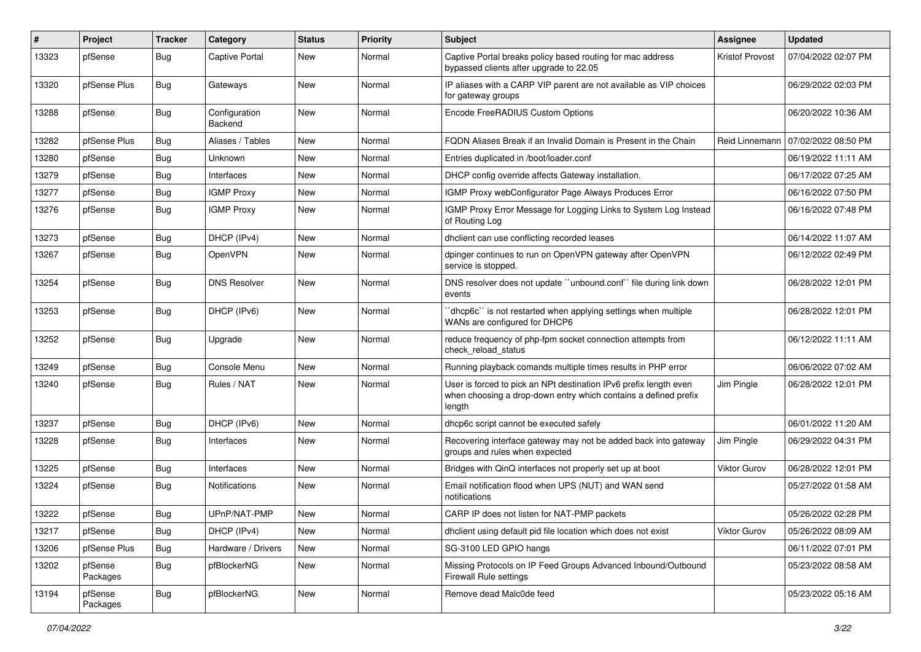| ∦     | Project             | <b>Tracker</b> | Category                 | <b>Status</b> | Priority | Subject                                                                                                                                        | Assignee               | <b>Updated</b>      |
|-------|---------------------|----------------|--------------------------|---------------|----------|------------------------------------------------------------------------------------------------------------------------------------------------|------------------------|---------------------|
| 13323 | pfSense             | Bug            | Captive Portal           | New           | Normal   | Captive Portal breaks policy based routing for mac address<br>bypassed clients after upgrade to 22.05                                          | <b>Kristof Provost</b> | 07/04/2022 02:07 PM |
| 13320 | pfSense Plus        | Bug            | Gateways                 | New           | Normal   | IP aliases with a CARP VIP parent are not available as VIP choices<br>for gateway groups                                                       |                        | 06/29/2022 02:03 PM |
| 13288 | pfSense             | Bug            | Configuration<br>Backend | New           | Normal   | Encode FreeRADIUS Custom Options                                                                                                               |                        | 06/20/2022 10:36 AM |
| 13282 | pfSense Plus        | Bug            | Aliases / Tables         | New           | Normal   | FQDN Aliases Break if an Invalid Domain is Present in the Chain                                                                                | Reid Linnemann         | 07/02/2022 08:50 PM |
| 13280 | pfSense             | Bug            | Unknown                  | <b>New</b>    | Normal   | Entries duplicated in /boot/loader.conf                                                                                                        |                        | 06/19/2022 11:11 AM |
| 13279 | pfSense             | Bug            | Interfaces               | New           | Normal   | DHCP config override affects Gateway installation.                                                                                             |                        | 06/17/2022 07:25 AM |
| 13277 | pfSense             | Bug            | <b>IGMP Proxy</b>        | New           | Normal   | IGMP Proxy webConfigurator Page Always Produces Error                                                                                          |                        | 06/16/2022 07:50 PM |
| 13276 | pfSense             | Bug            | <b>IGMP Proxy</b>        | New           | Normal   | IGMP Proxy Error Message for Logging Links to System Log Instead<br>of Routing Log                                                             |                        | 06/16/2022 07:48 PM |
| 13273 | pfSense             | Bug            | DHCP (IPv4)              | New           | Normal   | dhclient can use conflicting recorded leases                                                                                                   |                        | 06/14/2022 11:07 AM |
| 13267 | pfSense             | Bug            | OpenVPN                  | New           | Normal   | dpinger continues to run on OpenVPN gateway after OpenVPN<br>service is stopped.                                                               |                        | 06/12/2022 02:49 PM |
| 13254 | pfSense             | Bug            | <b>DNS Resolver</b>      | New           | Normal   | DNS resolver does not update "unbound.conf" file during link down<br>events                                                                    |                        | 06/28/2022 12:01 PM |
| 13253 | pfSense             | Bug            | DHCP (IPv6)              | New           | Normal   | 'dhcp6c' is not restarted when applying settings when multiple<br>WANs are configured for DHCP6                                                |                        | 06/28/2022 12:01 PM |
| 13252 | pfSense             | Bug            | Upgrade                  | New           | Normal   | reduce frequency of php-fpm socket connection attempts from<br>check_reload_status                                                             |                        | 06/12/2022 11:11 AM |
| 13249 | pfSense             | Bug            | Console Menu             | New           | Normal   | Running playback comands multiple times results in PHP error                                                                                   |                        | 06/06/2022 07:02 AM |
| 13240 | pfSense             | Bug            | Rules / NAT              | New           | Normal   | User is forced to pick an NPt destination IPv6 prefix length even<br>when choosing a drop-down entry which contains a defined prefix<br>length | Jim Pingle             | 06/28/2022 12:01 PM |
| 13237 | pfSense             | Bug            | DHCP (IPv6)              | New           | Normal   | dhcp6c script cannot be executed safely                                                                                                        |                        | 06/01/2022 11:20 AM |
| 13228 | pfSense             | Bug            | Interfaces               | New           | Normal   | Recovering interface gateway may not be added back into gateway<br>groups and rules when expected                                              | Jim Pingle             | 06/29/2022 04:31 PM |
| 13225 | pfSense             | Bug            | Interfaces               | New           | Normal   | Bridges with QinQ interfaces not properly set up at boot                                                                                       | Viktor Gurov           | 06/28/2022 12:01 PM |
| 13224 | pfSense             | Bug            | Notifications            | New           | Normal   | Email notification flood when UPS (NUT) and WAN send<br>notifications                                                                          |                        | 05/27/2022 01:58 AM |
| 13222 | pfSense             | Bug            | UPnP/NAT-PMP             | New           | Normal   | CARP IP does not listen for NAT-PMP packets                                                                                                    |                        | 05/26/2022 02:28 PM |
| 13217 | pfSense             | Bug            | DHCP (IPv4)              | New           | Normal   | dhclient using default pid file location which does not exist                                                                                  | Viktor Gurov           | 05/26/2022 08:09 AM |
| 13206 | pfSense Plus        | Bug            | Hardware / Drivers       | New           | Normal   | SG-3100 LED GPIO hangs                                                                                                                         |                        | 06/11/2022 07:01 PM |
| 13202 | pfSense<br>Packages | <b>Bug</b>     | pfBlockerNG              | New           | Normal   | Missing Protocols on IP Feed Groups Advanced Inbound/Outbound<br><b>Firewall Rule settings</b>                                                 |                        | 05/23/2022 08:58 AM |
| 13194 | pfSense<br>Packages | Bug            | pfBlockerNG              | New           | Normal   | Remove dead Malc0de feed                                                                                                                       |                        | 05/23/2022 05:16 AM |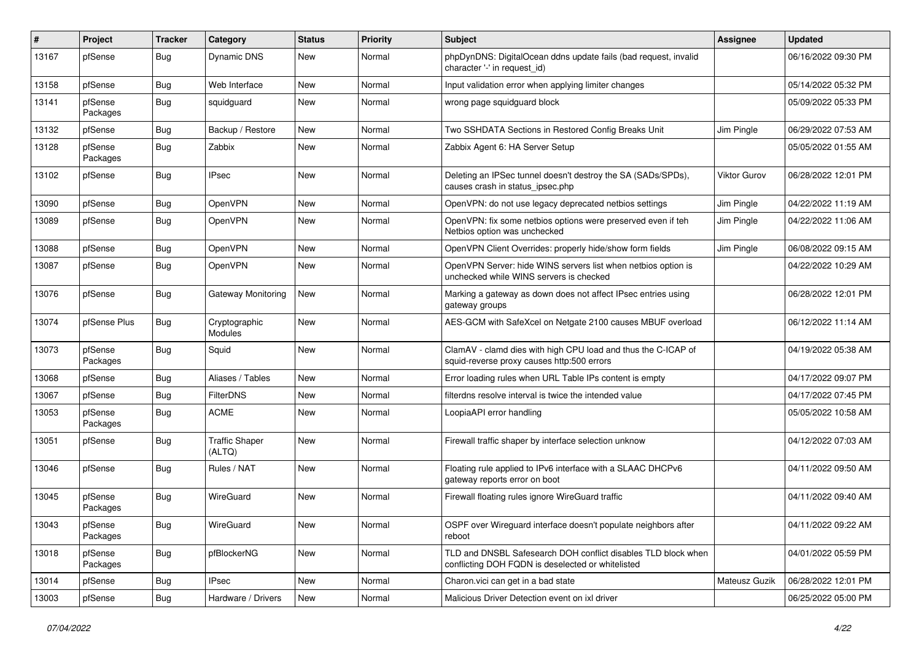| ∦     | Project             | <b>Tracker</b> | Category                        | <b>Status</b> | <b>Priority</b> | Subject                                                                                                            | Assignee            | <b>Updated</b>      |
|-------|---------------------|----------------|---------------------------------|---------------|-----------------|--------------------------------------------------------------------------------------------------------------------|---------------------|---------------------|
| 13167 | pfSense             | Bug            | Dynamic DNS                     | New           | Normal          | phpDynDNS: DigitalOcean ddns update fails (bad request, invalid<br>character '-' in request id)                    |                     | 06/16/2022 09:30 PM |
| 13158 | pfSense             | Bug            | Web Interface                   | New           | Normal          | Input validation error when applying limiter changes                                                               |                     | 05/14/2022 05:32 PM |
| 13141 | pfSense<br>Packages | Bug            | squidguard                      | New           | Normal          | wrong page squidguard block                                                                                        |                     | 05/09/2022 05:33 PM |
| 13132 | pfSense             | Bug            | Backup / Restore                | New           | Normal          | Two SSHDATA Sections in Restored Config Breaks Unit                                                                | Jim Pingle          | 06/29/2022 07:53 AM |
| 13128 | pfSense<br>Packages | Bug            | Zabbix                          | New           | Normal          | Zabbix Agent 6: HA Server Setup                                                                                    |                     | 05/05/2022 01:55 AM |
| 13102 | pfSense             | Bug            | <b>IPsec</b>                    | New           | Normal          | Deleting an IPSec tunnel doesn't destroy the SA (SADs/SPDs),<br>causes crash in status_ipsec.php                   | <b>Viktor Gurov</b> | 06/28/2022 12:01 PM |
| 13090 | pfSense             | Bug            | OpenVPN                         | New           | Normal          | OpenVPN: do not use legacy deprecated netbios settings                                                             | Jim Pingle          | 04/22/2022 11:19 AM |
| 13089 | pfSense             | <b>Bug</b>     | OpenVPN                         | New           | Normal          | OpenVPN: fix some netbios options were preserved even if teh<br>Netbios option was unchecked                       | Jim Pingle          | 04/22/2022 11:06 AM |
| 13088 | pfSense             | Bug            | OpenVPN                         | New           | Normal          | OpenVPN Client Overrides: properly hide/show form fields                                                           | Jim Pingle          | 06/08/2022 09:15 AM |
| 13087 | pfSense             | Bug            | OpenVPN                         | New           | Normal          | OpenVPN Server: hide WINS servers list when netbios option is<br>unchecked while WINS servers is checked           |                     | 04/22/2022 10:29 AM |
| 13076 | pfSense             | Bug            | Gateway Monitoring              | New           | Normal          | Marking a gateway as down does not affect IPsec entries using<br>gateway groups                                    |                     | 06/28/2022 12:01 PM |
| 13074 | pfSense Plus        | Bug            | Cryptographic<br>Modules        | New           | Normal          | AES-GCM with SafeXcel on Netgate 2100 causes MBUF overload                                                         |                     | 06/12/2022 11:14 AM |
| 13073 | pfSense<br>Packages | Bug            | Squid                           | New           | Normal          | ClamAV - clamd dies with high CPU load and thus the C-ICAP of<br>squid-reverse proxy causes http:500 errors        |                     | 04/19/2022 05:38 AM |
| 13068 | pfSense             | Bug            | Aliases / Tables                | New           | Normal          | Error loading rules when URL Table IPs content is empty                                                            |                     | 04/17/2022 09:07 PM |
| 13067 | pfSense             | Bug            | <b>FilterDNS</b>                | New           | Normal          | filterdns resolve interval is twice the intended value                                                             |                     | 04/17/2022 07:45 PM |
| 13053 | pfSense<br>Packages | Bug            | <b>ACME</b>                     | New           | Normal          | LoopiaAPI error handling                                                                                           |                     | 05/05/2022 10:58 AM |
| 13051 | pfSense             | Bug            | <b>Traffic Shaper</b><br>(ALTQ) | New           | Normal          | Firewall traffic shaper by interface selection unknow                                                              |                     | 04/12/2022 07:03 AM |
| 13046 | pfSense             | Bug            | Rules / NAT                     | New           | Normal          | Floating rule applied to IPv6 interface with a SLAAC DHCPv6<br>gateway reports error on boot                       |                     | 04/11/2022 09:50 AM |
| 13045 | pfSense<br>Packages | Bug            | WireGuard                       | New           | Normal          | Firewall floating rules ignore WireGuard traffic                                                                   |                     | 04/11/2022 09:40 AM |
| 13043 | pfSense<br>Packages | Bug            | WireGuard                       | New           | Normal          | OSPF over Wireguard interface doesn't populate neighbors after<br>reboot                                           |                     | 04/11/2022 09:22 AM |
| 13018 | pfSense<br>Packages | <b>Bug</b>     | pfBlockerNG                     | New           | Normal          | TLD and DNSBL Safesearch DOH conflict disables TLD block when<br>conflicting DOH FQDN is deselected or whitelisted |                     | 04/01/2022 05:59 PM |
| 13014 | pfSense             | <b>Bug</b>     | <b>IPsec</b>                    | New           | Normal          | Charon.vici can get in a bad state                                                                                 | Mateusz Guzik       | 06/28/2022 12:01 PM |
| 13003 | pfSense             | <b>Bug</b>     | Hardware / Drivers              | New           | Normal          | Malicious Driver Detection event on ixl driver                                                                     |                     | 06/25/2022 05:00 PM |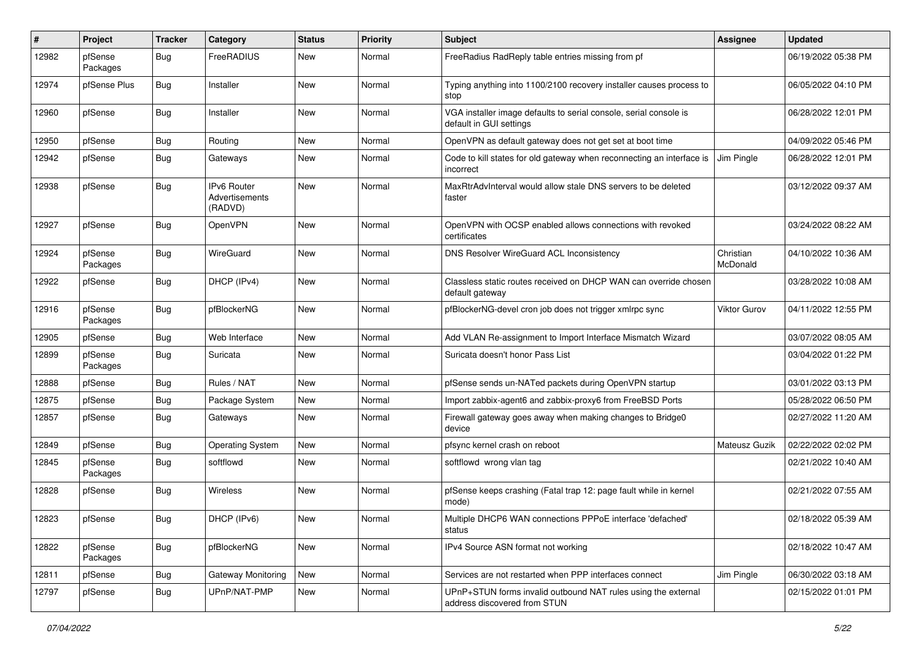| ∦     | Project             | <b>Tracker</b> | Category                                        | <b>Status</b> | <b>Priority</b> | Subject                                                                                       | Assignee              | <b>Updated</b>      |
|-------|---------------------|----------------|-------------------------------------------------|---------------|-----------------|-----------------------------------------------------------------------------------------------|-----------------------|---------------------|
| 12982 | pfSense<br>Packages | Bug            | FreeRADIUS                                      | New           | Normal          | FreeRadius RadReply table entries missing from pf                                             |                       | 06/19/2022 05:38 PM |
| 12974 | pfSense Plus        | Bug            | Installer                                       | New           | Normal          | Typing anything into 1100/2100 recovery installer causes process to<br>stop                   |                       | 06/05/2022 04:10 PM |
| 12960 | pfSense             | Bug            | Installer                                       | New           | Normal          | VGA installer image defaults to serial console, serial console is<br>default in GUI settings  |                       | 06/28/2022 12:01 PM |
| 12950 | pfSense             | Bug            | Routing                                         | New           | Normal          | OpenVPN as default gateway does not get set at boot time                                      |                       | 04/09/2022 05:46 PM |
| 12942 | pfSense             | Bug            | Gateways                                        | New           | Normal          | Code to kill states for old gateway when reconnecting an interface is<br>incorrect            | Jim Pingle            | 06/28/2022 12:01 PM |
| 12938 | pfSense             | Bug            | <b>IPv6 Router</b><br>Advertisements<br>(RADVD) | New           | Normal          | MaxRtrAdvInterval would allow stale DNS servers to be deleted<br>faster                       |                       | 03/12/2022 09:37 AM |
| 12927 | pfSense             | Bug            | OpenVPN                                         | <b>New</b>    | Normal          | OpenVPN with OCSP enabled allows connections with revoked<br>certificates                     |                       | 03/24/2022 08:22 AM |
| 12924 | pfSense<br>Packages | Bug            | WireGuard                                       | New           | Normal          | <b>DNS Resolver WireGuard ACL Inconsistency</b>                                               | Christian<br>McDonald | 04/10/2022 10:36 AM |
| 12922 | pfSense             | Bug            | DHCP (IPv4)                                     | New           | Normal          | Classless static routes received on DHCP WAN can override chosen<br>default gateway           |                       | 03/28/2022 10:08 AM |
| 12916 | pfSense<br>Packages | Bug            | pfBlockerNG                                     | New           | Normal          | pfBlockerNG-devel cron job does not trigger xmlrpc sync                                       | <b>Viktor Gurov</b>   | 04/11/2022 12:55 PM |
| 12905 | pfSense             | Bug            | Web Interface                                   | New           | Normal          | Add VLAN Re-assignment to Import Interface Mismatch Wizard                                    |                       | 03/07/2022 08:05 AM |
| 12899 | pfSense<br>Packages | <b>Bug</b>     | Suricata                                        | New           | Normal          | Suricata doesn't honor Pass List                                                              |                       | 03/04/2022 01:22 PM |
| 12888 | pfSense             | Bug            | Rules / NAT                                     | <b>New</b>    | Normal          | pfSense sends un-NATed packets during OpenVPN startup                                         |                       | 03/01/2022 03:13 PM |
| 12875 | pfSense             | Bug            | Package System                                  | New           | Normal          | Import zabbix-agent6 and zabbix-proxy6 from FreeBSD Ports                                     |                       | 05/28/2022 06:50 PM |
| 12857 | pfSense             | Bug            | Gateways                                        | New           | Normal          | Firewall gateway goes away when making changes to Bridge0<br>device                           |                       | 02/27/2022 11:20 AM |
| 12849 | pfSense             | Bug            | <b>Operating System</b>                         | New           | Normal          | pfsync kernel crash on reboot                                                                 | Mateusz Guzik         | 02/22/2022 02:02 PM |
| 12845 | pfSense<br>Packages | Bug            | softflowd                                       | New           | Normal          | softflowd wrong vlan tag                                                                      |                       | 02/21/2022 10:40 AM |
| 12828 | pfSense             | Bug            | Wireless                                        | New           | Normal          | pfSense keeps crashing (Fatal trap 12: page fault while in kernel<br>mode)                    |                       | 02/21/2022 07:55 AM |
| 12823 | pfSense             | Bug            | DHCP (IPv6)                                     | New           | Normal          | Multiple DHCP6 WAN connections PPPoE interface 'defached'<br>status                           |                       | 02/18/2022 05:39 AM |
| 12822 | pfSense<br>Packages | Bug            | pfBlockerNG                                     | New           | Normal          | IPv4 Source ASN format not working                                                            |                       | 02/18/2022 10:47 AM |
| 12811 | pfSense             | Bug            | Gateway Monitoring                              | New           | Normal          | Services are not restarted when PPP interfaces connect                                        | Jim Pingle            | 06/30/2022 03:18 AM |
| 12797 | pfSense             | Bug            | UPnP/NAT-PMP                                    | New           | Normal          | UPnP+STUN forms invalid outbound NAT rules using the external<br>address discovered from STUN |                       | 02/15/2022 01:01 PM |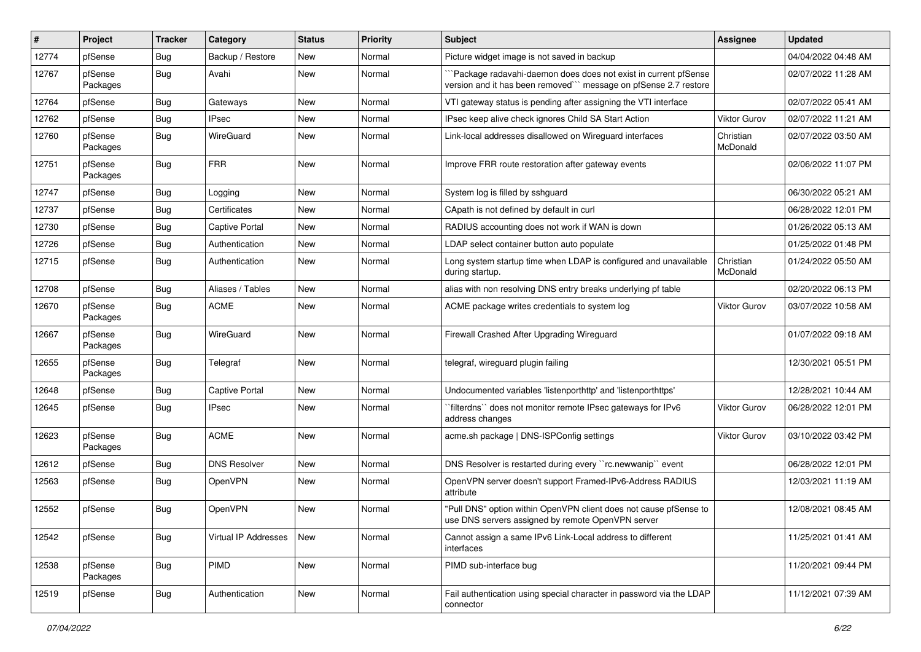| #     | Project             | <b>Tracker</b> | Category              | <b>Status</b> | <b>Priority</b> | Subject                                                                                                                             | <b>Assignee</b>       | <b>Updated</b>      |
|-------|---------------------|----------------|-----------------------|---------------|-----------------|-------------------------------------------------------------------------------------------------------------------------------------|-----------------------|---------------------|
| 12774 | pfSense             | Bug            | Backup / Restore      | New           | Normal          | Picture widget image is not saved in backup                                                                                         |                       | 04/04/2022 04:48 AM |
| 12767 | pfSense<br>Packages | Bug            | Avahi                 | New           | Normal          | `Package radavahi-daemon does does not exist in current pfSense<br>version and it has been removed"" message on pfSense 2.7 restore |                       | 02/07/2022 11:28 AM |
| 12764 | pfSense             | Bug            | Gateways              | New           | Normal          | VTI gateway status is pending after assigning the VTI interface                                                                     |                       | 02/07/2022 05:41 AM |
| 12762 | pfSense             | Bug            | <b>IPsec</b>          | New           | Normal          | IPsec keep alive check ignores Child SA Start Action                                                                                | <b>Viktor Gurov</b>   | 02/07/2022 11:21 AM |
| 12760 | pfSense<br>Packages | Bug            | WireGuard             | New           | Normal          | Link-local addresses disallowed on Wireguard interfaces                                                                             | Christian<br>McDonald | 02/07/2022 03:50 AM |
| 12751 | pfSense<br>Packages | Bug            | <b>FRR</b>            | New           | Normal          | Improve FRR route restoration after gateway events                                                                                  |                       | 02/06/2022 11:07 PM |
| 12747 | pfSense             | Bug            | Logging               | New           | Normal          | System log is filled by sshguard                                                                                                    |                       | 06/30/2022 05:21 AM |
| 12737 | pfSense             | Bug            | Certificates          | New           | Normal          | CApath is not defined by default in curl                                                                                            |                       | 06/28/2022 12:01 PM |
| 12730 | pfSense             | Bug            | <b>Captive Portal</b> | New           | Normal          | RADIUS accounting does not work if WAN is down                                                                                      |                       | 01/26/2022 05:13 AM |
| 12726 | pfSense             | Bug            | Authentication        | New           | Normal          | LDAP select container button auto populate                                                                                          |                       | 01/25/2022 01:48 PM |
| 12715 | pfSense             | Bug            | Authentication        | New           | Normal          | Long system startup time when LDAP is configured and unavailable<br>during startup.                                                 | Christian<br>McDonald | 01/24/2022 05:50 AM |
| 12708 | pfSense             | Bug            | Aliases / Tables      | New           | Normal          | alias with non resolving DNS entry breaks underlying pf table                                                                       |                       | 02/20/2022 06:13 PM |
| 12670 | pfSense<br>Packages | Bug            | <b>ACME</b>           | New           | Normal          | ACME package writes credentials to system log                                                                                       | <b>Viktor Gurov</b>   | 03/07/2022 10:58 AM |
| 12667 | pfSense<br>Packages | Bug            | WireGuard             | New           | Normal          | Firewall Crashed After Upgrading Wireguard                                                                                          |                       | 01/07/2022 09:18 AM |
| 12655 | pfSense<br>Packages | Bug            | Telegraf              | New           | Normal          | telegraf, wireguard plugin failing                                                                                                  |                       | 12/30/2021 05:51 PM |
| 12648 | pfSense             | Bug            | <b>Captive Portal</b> | New           | Normal          | Undocumented variables 'listenporthttp' and 'listenporthttps'                                                                       |                       | 12/28/2021 10:44 AM |
| 12645 | pfSense             | Bug            | <b>IPsec</b>          | New           | Normal          | filterdns" does not monitor remote IPsec gateways for IPv6<br>address changes                                                       | <b>Viktor Gurov</b>   | 06/28/2022 12:01 PM |
| 12623 | pfSense<br>Packages | Bug            | <b>ACME</b>           | New           | Normal          | acme.sh package   DNS-ISPConfig settings                                                                                            | <b>Viktor Gurov</b>   | 03/10/2022 03:42 PM |
| 12612 | pfSense             | Bug            | <b>DNS Resolver</b>   | New           | Normal          | DNS Resolver is restarted during every "rc.newwanip" event                                                                          |                       | 06/28/2022 12:01 PM |
| 12563 | pfSense             | Bug            | OpenVPN               | New           | Normal          | OpenVPN server doesn't support Framed-IPv6-Address RADIUS<br>attribute                                                              |                       | 12/03/2021 11:19 AM |
| 12552 | pfSense             | Bug            | OpenVPN               | New           | Normal          | "Pull DNS" option within OpenVPN client does not cause pfSense to<br>use DNS servers assigned by remote OpenVPN server              |                       | 12/08/2021 08:45 AM |
| 12542 | pfSense             | Bug            | Virtual IP Addresses  | New           | Normal          | Cannot assign a same IPv6 Link-Local address to different<br>interfaces                                                             |                       | 11/25/2021 01:41 AM |
| 12538 | pfSense<br>Packages | <b>Bug</b>     | PIMD                  | New           | Normal          | PIMD sub-interface bug                                                                                                              |                       | 11/20/2021 09:44 PM |
| 12519 | pfSense             | Bug            | Authentication        | New           | Normal          | Fail authentication using special character in password via the LDAP<br>connector                                                   |                       | 11/12/2021 07:39 AM |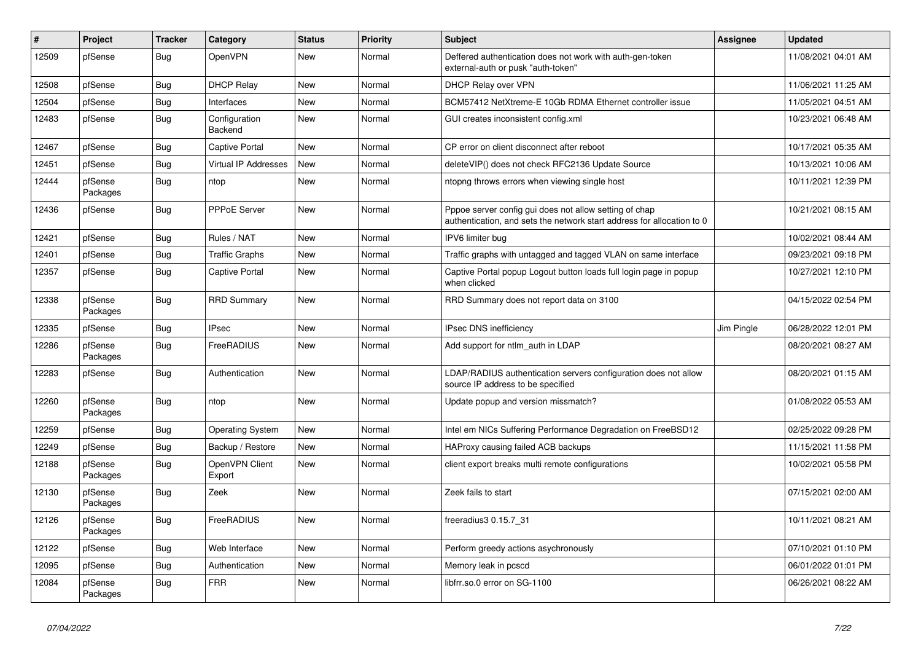| $\vert$ # | Project             | <b>Tracker</b> | Category                    | <b>Status</b> | <b>Priority</b> | Subject                                                                                                                          | <b>Assignee</b> | <b>Updated</b>      |
|-----------|---------------------|----------------|-----------------------------|---------------|-----------------|----------------------------------------------------------------------------------------------------------------------------------|-----------------|---------------------|
| 12509     | pfSense             | <b>Bug</b>     | OpenVPN                     | <b>New</b>    | Normal          | Deffered authentication does not work with auth-gen-token<br>external-auth or pusk "auth-token"                                  |                 | 11/08/2021 04:01 AM |
| 12508     | pfSense             | Bug            | <b>DHCP Relay</b>           | New           | Normal          | <b>DHCP Relay over VPN</b>                                                                                                       |                 | 11/06/2021 11:25 AM |
| 12504     | pfSense             | Bug            | Interfaces                  | New           | Normal          | BCM57412 NetXtreme-E 10Gb RDMA Ethernet controller issue                                                                         |                 | 11/05/2021 04:51 AM |
| 12483     | pfSense             | Bug            | Configuration<br>Backend    | New           | Normal          | GUI creates inconsistent config.xml                                                                                              |                 | 10/23/2021 06:48 AM |
| 12467     | pfSense             | Bug            | Captive Portal              | <b>New</b>    | Normal          | CP error on client disconnect after reboot                                                                                       |                 | 10/17/2021 05:35 AM |
| 12451     | pfSense             | <b>Bug</b>     | <b>Virtual IP Addresses</b> | <b>New</b>    | Normal          | deleteVIP() does not check RFC2136 Update Source                                                                                 |                 | 10/13/2021 10:06 AM |
| 12444     | pfSense<br>Packages | Bug            | ntop                        | New           | Normal          | ntopng throws errors when viewing single host                                                                                    |                 | 10/11/2021 12:39 PM |
| 12436     | pfSense             | Bug            | <b>PPPoE Server</b>         | New           | Normal          | Pppoe server config gui does not allow setting of chap<br>authentication, and sets the network start address for allocation to 0 |                 | 10/21/2021 08:15 AM |
| 12421     | pfSense             | Bug            | Rules / NAT                 | New           | Normal          | IPV6 limiter bug                                                                                                                 |                 | 10/02/2021 08:44 AM |
| 12401     | pfSense             | Bug            | <b>Traffic Graphs</b>       | New           | Normal          | Traffic graphs with untagged and tagged VLAN on same interface                                                                   |                 | 09/23/2021 09:18 PM |
| 12357     | pfSense             | <b>Bug</b>     | Captive Portal              | <b>New</b>    | Normal          | Captive Portal popup Logout button loads full login page in popup<br>when clicked                                                |                 | 10/27/2021 12:10 PM |
| 12338     | pfSense<br>Packages | Bug            | <b>RRD Summary</b>          | <b>New</b>    | Normal          | RRD Summary does not report data on 3100                                                                                         |                 | 04/15/2022 02:54 PM |
| 12335     | pfSense             | Bug            | <b>IPsec</b>                | New           | Normal          | IPsec DNS inefficiency                                                                                                           | Jim Pingle      | 06/28/2022 12:01 PM |
| 12286     | pfSense<br>Packages | Bug            | FreeRADIUS                  | <b>New</b>    | Normal          | Add support for ntlm auth in LDAP                                                                                                |                 | 08/20/2021 08:27 AM |
| 12283     | pfSense             | Bug            | Authentication              | New           | Normal          | LDAP/RADIUS authentication servers configuration does not allow<br>source IP address to be specified                             |                 | 08/20/2021 01:15 AM |
| 12260     | pfSense<br>Packages | Bug            | ntop                        | New           | Normal          | Update popup and version missmatch?                                                                                              |                 | 01/08/2022 05:53 AM |
| 12259     | pfSense             | <b>Bug</b>     | <b>Operating System</b>     | New           | Normal          | Intel em NICs Suffering Performance Degradation on FreeBSD12                                                                     |                 | 02/25/2022 09:28 PM |
| 12249     | pfSense             | Bug            | Backup / Restore            | <b>New</b>    | Normal          | HAProxy causing failed ACB backups                                                                                               |                 | 11/15/2021 11:58 PM |
| 12188     | pfSense<br>Packages | Bug            | OpenVPN Client<br>Export    | <b>New</b>    | Normal          | client export breaks multi remote configurations                                                                                 |                 | 10/02/2021 05:58 PM |
| 12130     | pfSense<br>Packages | <b>Bug</b>     | Zeek                        | New           | Normal          | Zeek fails to start                                                                                                              |                 | 07/15/2021 02:00 AM |
| 12126     | pfSense<br>Packages | <b>Bug</b>     | FreeRADIUS                  | New           | Normal          | freeradius3 0.15.7 31                                                                                                            |                 | 10/11/2021 08:21 AM |
| 12122     | pfSense             | Bug            | Web Interface               | <b>New</b>    | Normal          | Perform greedy actions asychronously                                                                                             |                 | 07/10/2021 01:10 PM |
| 12095     | pfSense             | Bug            | Authentication              | New           | Normal          | Memory leak in pcscd                                                                                                             |                 | 06/01/2022 01:01 PM |
| 12084     | pfSense<br>Packages | <b>Bug</b>     | <b>FRR</b>                  | <b>New</b>    | Normal          | libfrr.so.0 error on SG-1100                                                                                                     |                 | 06/26/2021 08:22 AM |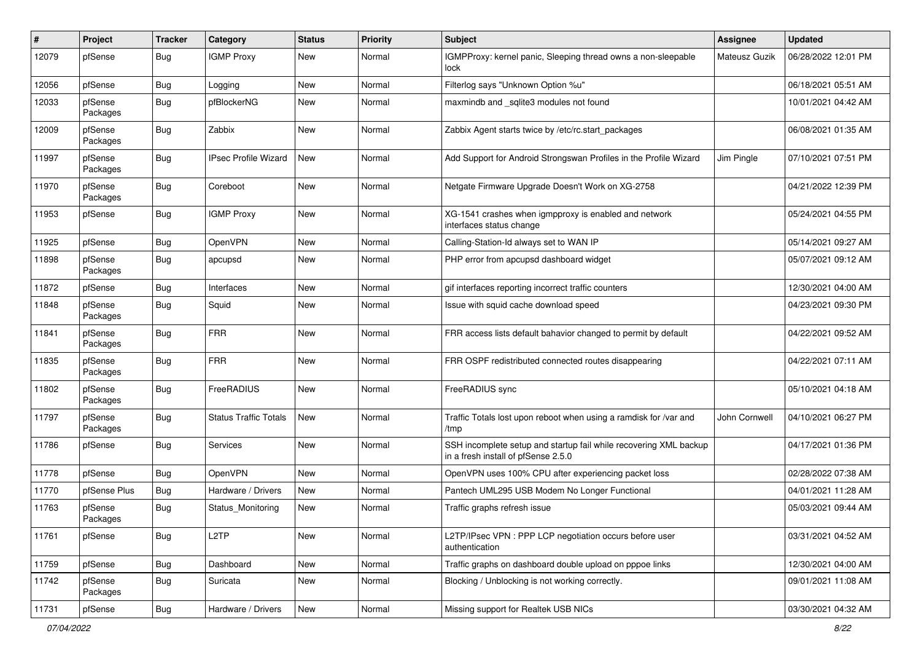| ∦     | Project             | <b>Tracker</b> | Category                     | <b>Status</b> | <b>Priority</b> | Subject                                                                                                  | <b>Assignee</b> | <b>Updated</b>      |
|-------|---------------------|----------------|------------------------------|---------------|-----------------|----------------------------------------------------------------------------------------------------------|-----------------|---------------------|
| 12079 | pfSense             | Bug            | <b>IGMP Proxy</b>            | New           | Normal          | IGMPProxy: kernel panic, Sleeping thread owns a non-sleepable<br>lock                                    | Mateusz Guzik   | 06/28/2022 12:01 PM |
| 12056 | pfSense             | Bug            | Logging                      | New           | Normal          | Filterlog says "Unknown Option %u"                                                                       |                 | 06/18/2021 05:51 AM |
| 12033 | pfSense<br>Packages | Bug            | pfBlockerNG                  | New           | Normal          | maxmindb and sqlite3 modules not found                                                                   |                 | 10/01/2021 04:42 AM |
| 12009 | pfSense<br>Packages | Bug            | Zabbix                       | New           | Normal          | Zabbix Agent starts twice by /etc/rc.start_packages                                                      |                 | 06/08/2021 01:35 AM |
| 11997 | pfSense<br>Packages | Bug            | <b>IPsec Profile Wizard</b>  | New           | Normal          | Add Support for Android Strongswan Profiles in the Profile Wizard                                        | Jim Pingle      | 07/10/2021 07:51 PM |
| 11970 | pfSense<br>Packages | Bug            | Coreboot                     | New           | Normal          | Netgate Firmware Upgrade Doesn't Work on XG-2758                                                         |                 | 04/21/2022 12:39 PM |
| 11953 | pfSense             | Bug            | <b>IGMP Proxy</b>            | New           | Normal          | XG-1541 crashes when igmpproxy is enabled and network<br>interfaces status change                        |                 | 05/24/2021 04:55 PM |
| 11925 | pfSense             | Bug            | OpenVPN                      | New           | Normal          | Calling-Station-Id always set to WAN IP                                                                  |                 | 05/14/2021 09:27 AM |
| 11898 | pfSense<br>Packages | Bug            | apcupsd                      | New           | Normal          | PHP error from apcupsd dashboard widget                                                                  |                 | 05/07/2021 09:12 AM |
| 11872 | pfSense             | Bug            | Interfaces                   | New           | Normal          | gif interfaces reporting incorrect traffic counters                                                      |                 | 12/30/2021 04:00 AM |
| 11848 | pfSense<br>Packages | Bug            | Squid                        | New           | Normal          | Issue with squid cache download speed                                                                    |                 | 04/23/2021 09:30 PM |
| 11841 | pfSense<br>Packages | Bug            | <b>FRR</b>                   | New           | Normal          | FRR access lists default bahavior changed to permit by default                                           |                 | 04/22/2021 09:52 AM |
| 11835 | pfSense<br>Packages | Bug            | <b>FRR</b>                   | New           | Normal          | FRR OSPF redistributed connected routes disappearing                                                     |                 | 04/22/2021 07:11 AM |
| 11802 | pfSense<br>Packages | Bug            | FreeRADIUS                   | <b>New</b>    | Normal          | FreeRADIUS sync                                                                                          |                 | 05/10/2021 04:18 AM |
| 11797 | pfSense<br>Packages | Bug            | <b>Status Traffic Totals</b> | New           | Normal          | Traffic Totals lost upon reboot when using a ramdisk for /var and<br>/tmp                                | John Cornwell   | 04/10/2021 06:27 PM |
| 11786 | pfSense             | Bug            | Services                     | New           | Normal          | SSH incomplete setup and startup fail while recovering XML backup<br>in a fresh install of pfSense 2.5.0 |                 | 04/17/2021 01:36 PM |
| 11778 | pfSense             | Bug            | OpenVPN                      | New           | Normal          | OpenVPN uses 100% CPU after experiencing packet loss                                                     |                 | 02/28/2022 07:38 AM |
| 11770 | pfSense Plus        | Bug            | Hardware / Drivers           | New           | Normal          | Pantech UML295 USB Modem No Longer Functional                                                            |                 | 04/01/2021 11:28 AM |
| 11763 | pfSense<br>Packages | Bug            | Status_Monitoring            | New           | Normal          | Traffic graphs refresh issue                                                                             |                 | 05/03/2021 09:44 AM |
| 11761 | pfSense             | Bug            | L <sub>2</sub> TP            | New           | Normal          | L2TP/IPsec VPN : PPP LCP negotiation occurs before user<br>authentication                                |                 | 03/31/2021 04:52 AM |
| 11759 | pfSense             | Bug            | Dashboard                    | New           | Normal          | Traffic graphs on dashboard double upload on pppoe links                                                 |                 | 12/30/2021 04:00 AM |
| 11742 | pfSense<br>Packages | Bug            | Suricata                     | New           | Normal          | Blocking / Unblocking is not working correctly.                                                          |                 | 09/01/2021 11:08 AM |
| 11731 | pfSense             | Bug            | Hardware / Drivers           | New           | Normal          | Missing support for Realtek USB NICs                                                                     |                 | 03/30/2021 04:32 AM |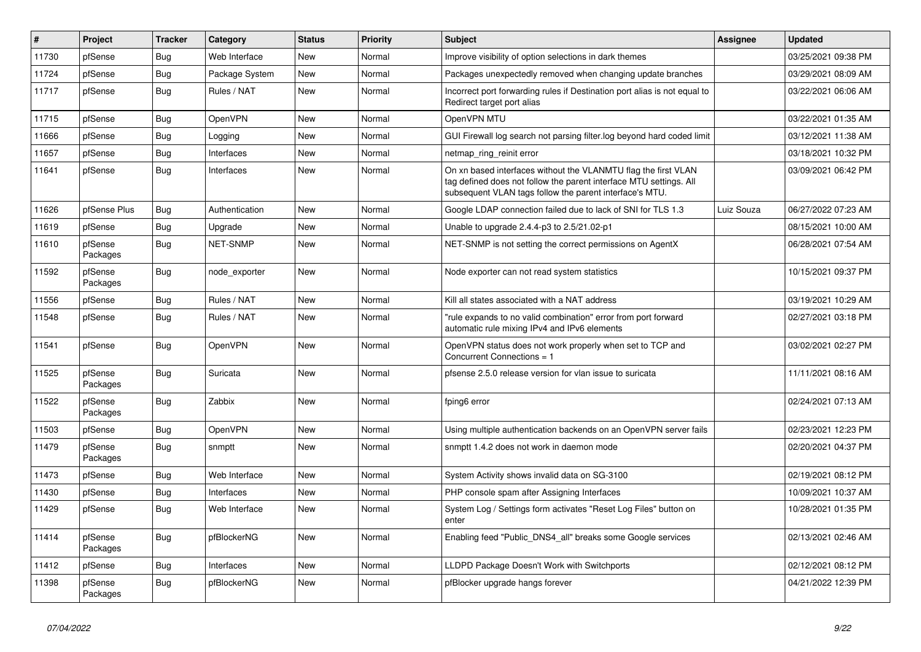| ∦     | Project             | <b>Tracker</b> | Category        | <b>Status</b> | Priority | <b>Subject</b>                                                                                                                                                                                  | <b>Assignee</b> | <b>Updated</b>      |
|-------|---------------------|----------------|-----------------|---------------|----------|-------------------------------------------------------------------------------------------------------------------------------------------------------------------------------------------------|-----------------|---------------------|
| 11730 | pfSense             | Bug            | Web Interface   | <b>New</b>    | Normal   | Improve visibility of option selections in dark themes                                                                                                                                          |                 | 03/25/2021 09:38 PM |
| 11724 | pfSense             | Bug            | Package System  | <b>New</b>    | Normal   | Packages unexpectedly removed when changing update branches                                                                                                                                     |                 | 03/29/2021 08:09 AM |
| 11717 | pfSense             | Bug            | Rules / NAT     | <b>New</b>    | Normal   | Incorrect port forwarding rules if Destination port alias is not equal to<br>Redirect target port alias                                                                                         |                 | 03/22/2021 06:06 AM |
| 11715 | pfSense             | Bug            | <b>OpenVPN</b>  | New           | Normal   | OpenVPN MTU                                                                                                                                                                                     |                 | 03/22/2021 01:35 AM |
| 11666 | pfSense             | Bug            | Logging         | New           | Normal   | GUI Firewall log search not parsing filter log beyond hard coded limit                                                                                                                          |                 | 03/12/2021 11:38 AM |
| 11657 | pfSense             | <b>Bug</b>     | Interfaces      | New           | Normal   | netmap ring reinit error                                                                                                                                                                        |                 | 03/18/2021 10:32 PM |
| 11641 | pfSense             | Bug            | Interfaces      | New           | Normal   | On xn based interfaces without the VLANMTU flag the first VLAN<br>tag defined does not follow the parent interface MTU settings. All<br>subsequent VLAN tags follow the parent interface's MTU. |                 | 03/09/2021 06:42 PM |
| 11626 | pfSense Plus        | Bug            | Authentication  | <b>New</b>    | Normal   | Google LDAP connection failed due to lack of SNI for TLS 1.3                                                                                                                                    | Luiz Souza      | 06/27/2022 07:23 AM |
| 11619 | pfSense             | <b>Bug</b>     | Upgrade         | <b>New</b>    | Normal   | Unable to upgrade 2.4.4-p3 to 2.5/21.02-p1                                                                                                                                                      |                 | 08/15/2021 10:00 AM |
| 11610 | pfSense<br>Packages | <b>Bug</b>     | <b>NET-SNMP</b> | <b>New</b>    | Normal   | NET-SNMP is not setting the correct permissions on AgentX                                                                                                                                       |                 | 06/28/2021 07:54 AM |
| 11592 | pfSense<br>Packages | Bug            | node exporter   | New           | Normal   | Node exporter can not read system statistics                                                                                                                                                    |                 | 10/15/2021 09:37 PM |
| 11556 | pfSense             | Bug            | Rules / NAT     | New           | Normal   | Kill all states associated with a NAT address                                                                                                                                                   |                 | 03/19/2021 10:29 AM |
| 11548 | pfSense             | <b>Bug</b>     | Rules / NAT     | <b>New</b>    | Normal   | "rule expands to no valid combination" error from port forward<br>automatic rule mixing IPv4 and IPv6 elements                                                                                  |                 | 02/27/2021 03:18 PM |
| 11541 | pfSense             | <b>Bug</b>     | OpenVPN         | <b>New</b>    | Normal   | OpenVPN status does not work properly when set to TCP and<br>Concurrent Connections = 1                                                                                                         |                 | 03/02/2021 02:27 PM |
| 11525 | pfSense<br>Packages | <b>Bug</b>     | Suricata        | New           | Normal   | pfsense 2.5.0 release version for vlan issue to suricata                                                                                                                                        |                 | 11/11/2021 08:16 AM |
| 11522 | pfSense<br>Packages | <b>Bug</b>     | Zabbix          | New           | Normal   | fping6 error                                                                                                                                                                                    |                 | 02/24/2021 07:13 AM |
| 11503 | pfSense             | <b>Bug</b>     | <b>OpenVPN</b>  | <b>New</b>    | Normal   | Using multiple authentication backends on an OpenVPN server fails                                                                                                                               |                 | 02/23/2021 12:23 PM |
| 11479 | pfSense<br>Packages | Bug            | snmptt          | <b>New</b>    | Normal   | snmptt 1.4.2 does not work in daemon mode                                                                                                                                                       |                 | 02/20/2021 04:37 PM |
| 11473 | pfSense             | Bug            | Web Interface   | New           | Normal   | System Activity shows invalid data on SG-3100                                                                                                                                                   |                 | 02/19/2021 08:12 PM |
| 11430 | pfSense             | <b>Bug</b>     | Interfaces      | New           | Normal   | PHP console spam after Assigning Interfaces                                                                                                                                                     |                 | 10/09/2021 10:37 AM |
| 11429 | pfSense             | <b>Bug</b>     | Web Interface   | New           | Normal   | System Log / Settings form activates "Reset Log Files" button on<br>enter                                                                                                                       |                 | 10/28/2021 01:35 PM |
| 11414 | pfSense<br>Packages | <b>Bug</b>     | pfBlockerNG     | <b>New</b>    | Normal   | Enabling feed "Public_DNS4_all" breaks some Google services                                                                                                                                     |                 | 02/13/2021 02:46 AM |
| 11412 | pfSense             | <b>Bug</b>     | Interfaces      | New           | Normal   | LLDPD Package Doesn't Work with Switchports                                                                                                                                                     |                 | 02/12/2021 08:12 PM |
| 11398 | pfSense<br>Packages | Bug            | pfBlockerNG     | <b>New</b>    | Normal   | pfBlocker upgrade hangs forever                                                                                                                                                                 |                 | 04/21/2022 12:39 PM |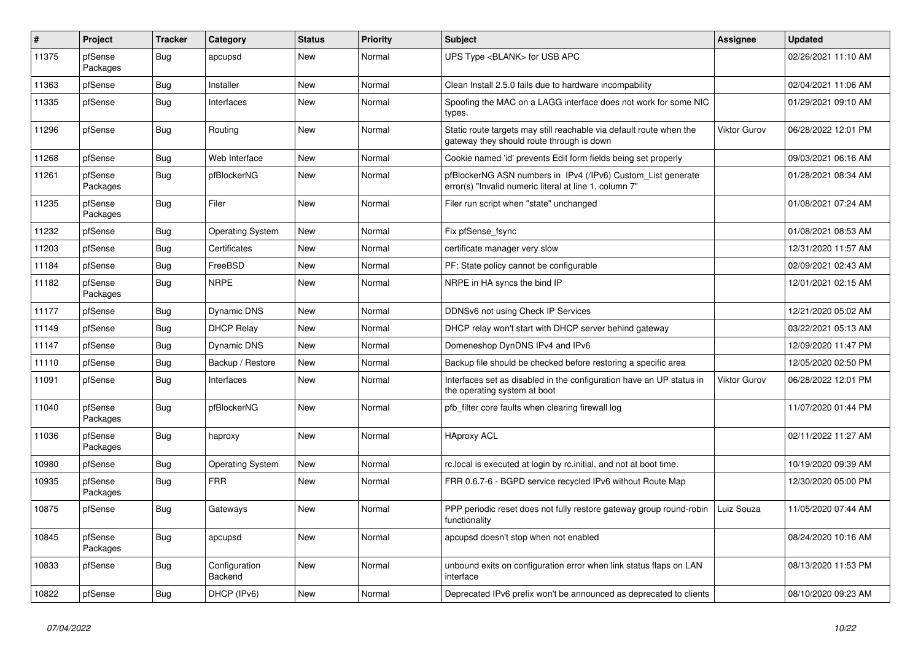| $\vert$ # | <b>Project</b>      | <b>Tracker</b> | Category                 | <b>Status</b> | Priority | <b>Subject</b>                                                                                                         | <b>Assignee</b>     | <b>Updated</b>      |
|-----------|---------------------|----------------|--------------------------|---------------|----------|------------------------------------------------------------------------------------------------------------------------|---------------------|---------------------|
| 11375     | pfSense<br>Packages | Bug            | apcupsd                  | New           | Normal   | UPS Type <blank> for USB APC</blank>                                                                                   |                     | 02/26/2021 11:10 AM |
| 11363     | pfSense             | Bug            | Installer                | New           | Normal   | Clean Install 2.5.0 fails due to hardware incompability                                                                |                     | 02/04/2021 11:06 AM |
| 11335     | pfSense             | Bug            | Interfaces               | New           | Normal   | Spoofing the MAC on a LAGG interface does not work for some NIC<br>types.                                              |                     | 01/29/2021 09:10 AM |
| 11296     | pfSense             | Bug            | Routing                  | New           | Normal   | Static route targets may still reachable via default route when the<br>gateway they should route through is down       | <b>Viktor Gurov</b> | 06/28/2022 12:01 PM |
| 11268     | pfSense             | Bug            | Web Interface            | New           | Normal   | Cookie named 'id' prevents Edit form fields being set properly                                                         |                     | 09/03/2021 06:16 AM |
| 11261     | pfSense<br>Packages | Bug            | pfBlockerNG              | New           | Normal   | pfBlockerNG ASN numbers in IPv4 (/IPv6) Custom List generate<br>error(s) "Invalid numeric literal at line 1, column 7" |                     | 01/28/2021 08:34 AM |
| 11235     | pfSense<br>Packages | Bug            | Filer                    | New           | Normal   | Filer run script when "state" unchanged                                                                                |                     | 01/08/2021 07:24 AM |
| 11232     | pfSense             | Bug            | <b>Operating System</b>  | New           | Normal   | Fix pfSense_fsync                                                                                                      |                     | 01/08/2021 08:53 AM |
| 11203     | pfSense             | Bug            | Certificates             | New           | Normal   | certificate manager very slow                                                                                          |                     | 12/31/2020 11:57 AM |
| 11184     | pfSense             | <b>Bug</b>     | FreeBSD                  | <b>New</b>    | Normal   | PF: State policy cannot be configurable                                                                                |                     | 02/09/2021 02:43 AM |
| 11182     | pfSense<br>Packages | <b>Bug</b>     | <b>NRPE</b>              | <b>New</b>    | Normal   | NRPE in HA syncs the bind IP                                                                                           |                     | 12/01/2021 02:15 AM |
| 11177     | pfSense             | <b>Bug</b>     | Dynamic DNS              | New           | Normal   | DDNSv6 not using Check IP Services                                                                                     |                     | 12/21/2020 05:02 AM |
| 11149     | pfSense             | Bug            | <b>DHCP Relay</b>        | New           | Normal   | DHCP relay won't start with DHCP server behind gateway                                                                 |                     | 03/22/2021 05:13 AM |
| 11147     | pfSense             | Bug            | <b>Dynamic DNS</b>       | New           | Normal   | Domeneshop DynDNS IPv4 and IPv6                                                                                        |                     | 12/09/2020 11:47 PM |
| 11110     | pfSense             | Bug            | Backup / Restore         | New           | Normal   | Backup file should be checked before restoring a specific area                                                         |                     | 12/05/2020 02:50 PM |
| 11091     | pfSense             | <b>Bug</b>     | Interfaces               | New           | Normal   | Interfaces set as disabled in the configuration have an UP status in<br>the operating system at boot                   | <b>Viktor Gurov</b> | 06/28/2022 12:01 PM |
| 11040     | pfSense<br>Packages | Bug            | pfBlockerNG              | <b>New</b>    | Normal   | pfb filter core faults when clearing firewall log                                                                      |                     | 11/07/2020 01:44 PM |
| 11036     | pfSense<br>Packages | Bug            | haproxy                  | <b>New</b>    | Normal   | <b>HAproxy ACL</b>                                                                                                     |                     | 02/11/2022 11:27 AM |
| 10980     | pfSense             | <b>Bug</b>     | <b>Operating System</b>  | New           | Normal   | rc.local is executed at login by rc.initial, and not at boot time.                                                     |                     | 10/19/2020 09:39 AM |
| 10935     | pfSense<br>Packages | Bug            | <b>FRR</b>               | New           | Normal   | FRR 0.6.7-6 - BGPD service recycled IPv6 without Route Map                                                             |                     | 12/30/2020 05:00 PM |
| 10875     | pfSense             | <b>Bug</b>     | Gateways                 | New           | Normal   | PPP periodic reset does not fully restore gateway group round-robin<br>functionality                                   | Luiz Souza          | 11/05/2020 07:44 AM |
| 10845     | pfSense<br>Packages | <b>Bug</b>     | apcupsd                  | <b>New</b>    | Normal   | apcupsd doesn't stop when not enabled                                                                                  |                     | 08/24/2020 10:16 AM |
| 10833     | pfSense             | Bug            | Configuration<br>Backend | New           | Normal   | unbound exits on configuration error when link status flaps on LAN<br>interface                                        |                     | 08/13/2020 11:53 PM |
| 10822     | pfSense             | Bug            | DHCP (IPv6)              | New           | Normal   | Deprecated IPv6 prefix won't be announced as deprecated to clients                                                     |                     | 08/10/2020 09:23 AM |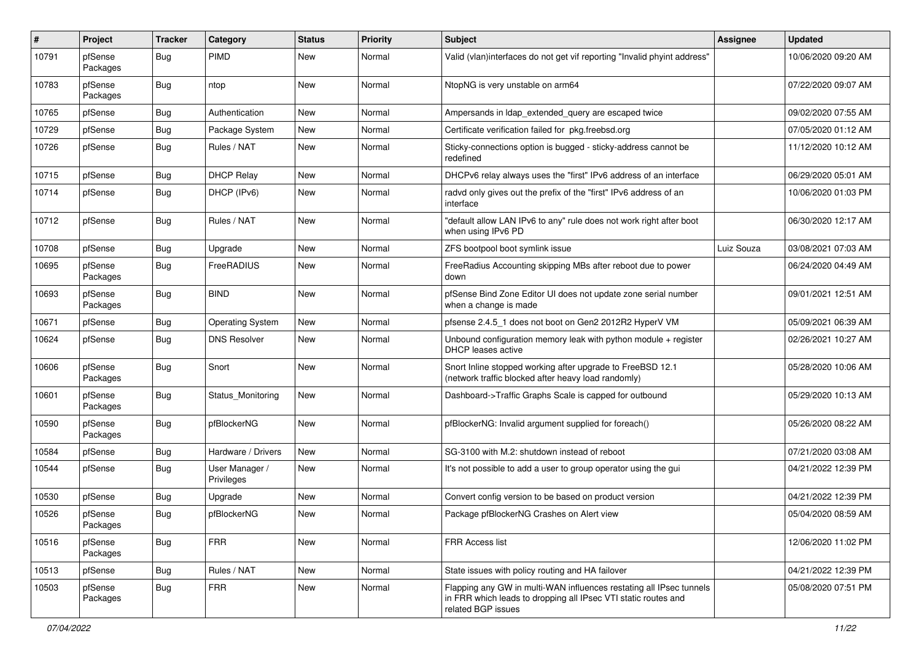| #     | Project             | <b>Tracker</b> | Category                     | <b>Status</b> | <b>Priority</b> | Subject                                                                                                                                                     | <b>Assignee</b> | <b>Updated</b>      |
|-------|---------------------|----------------|------------------------------|---------------|-----------------|-------------------------------------------------------------------------------------------------------------------------------------------------------------|-----------------|---------------------|
| 10791 | pfSense<br>Packages | Bug            | <b>PIMD</b>                  | New           | Normal          | Valid (vlan)interfaces do not get vif reporting "Invalid phyint address"                                                                                    |                 | 10/06/2020 09:20 AM |
| 10783 | pfSense<br>Packages | Bug            | ntop                         | New           | Normal          | NtopNG is very unstable on arm64                                                                                                                            |                 | 07/22/2020 09:07 AM |
| 10765 | pfSense             | Bug            | Authentication               | New           | Normal          | Ampersands in Idap extended query are escaped twice                                                                                                         |                 | 09/02/2020 07:55 AM |
| 10729 | pfSense             | <b>Bug</b>     | Package System               | New           | Normal          | Certificate verification failed for pkg.freebsd.org                                                                                                         |                 | 07/05/2020 01:12 AM |
| 10726 | pfSense             | Bug            | Rules / NAT                  | New           | Normal          | Sticky-connections option is bugged - sticky-address cannot be<br>redefined                                                                                 |                 | 11/12/2020 10:12 AM |
| 10715 | pfSense             | Bug            | <b>DHCP Relay</b>            | New           | Normal          | DHCPv6 relay always uses the "first" IPv6 address of an interface                                                                                           |                 | 06/29/2020 05:01 AM |
| 10714 | pfSense             | <b>Bug</b>     | DHCP (IPv6)                  | New           | Normal          | radvd only gives out the prefix of the "first" IPv6 address of an<br>interface                                                                              |                 | 10/06/2020 01:03 PM |
| 10712 | pfSense             | Bug            | Rules / NAT                  | <b>New</b>    | Normal          | "default allow LAN IPv6 to any" rule does not work right after boot<br>when using IPv6 PD                                                                   |                 | 06/30/2020 12:17 AM |
| 10708 | pfSense             | Bug            | Upgrade                      | New           | Normal          | ZFS bootpool boot symlink issue                                                                                                                             | Luiz Souza      | 03/08/2021 07:03 AM |
| 10695 | pfSense<br>Packages | Bug            | FreeRADIUS                   | New           | Normal          | FreeRadius Accounting skipping MBs after reboot due to power<br>down                                                                                        |                 | 06/24/2020 04:49 AM |
| 10693 | pfSense<br>Packages | Bug            | <b>BIND</b>                  | New           | Normal          | pfSense Bind Zone Editor UI does not update zone serial number<br>when a change is made                                                                     |                 | 09/01/2021 12:51 AM |
| 10671 | pfSense             | Bug            | <b>Operating System</b>      | New           | Normal          | pfsense 2.4.5 1 does not boot on Gen2 2012R2 HyperV VM                                                                                                      |                 | 05/09/2021 06:39 AM |
| 10624 | pfSense             | Bug            | <b>DNS Resolver</b>          | New           | Normal          | Unbound configuration memory leak with python module $+$ register<br>DHCP leases active                                                                     |                 | 02/26/2021 10:27 AM |
| 10606 | pfSense<br>Packages | Bug            | Snort                        | New           | Normal          | Snort Inline stopped working after upgrade to FreeBSD 12.1<br>(network traffic blocked after heavy load randomly)                                           |                 | 05/28/2020 10:06 AM |
| 10601 | pfSense<br>Packages | Bug            | Status_Monitoring            | New           | Normal          | Dashboard->Traffic Graphs Scale is capped for outbound                                                                                                      |                 | 05/29/2020 10:13 AM |
| 10590 | pfSense<br>Packages | Bug            | pfBlockerNG                  | New           | Normal          | pfBlockerNG: Invalid argument supplied for foreach()                                                                                                        |                 | 05/26/2020 08:22 AM |
| 10584 | pfSense             | Bug            | Hardware / Drivers           | New           | Normal          | SG-3100 with M.2: shutdown instead of reboot                                                                                                                |                 | 07/21/2020 03:08 AM |
| 10544 | pfSense             | Bug            | User Manager /<br>Privileges | New           | Normal          | It's not possible to add a user to group operator using the qui                                                                                             |                 | 04/21/2022 12:39 PM |
| 10530 | pfSense             | Bug            | Upgrade                      | New           | Normal          | Convert config version to be based on product version                                                                                                       |                 | 04/21/2022 12:39 PM |
| 10526 | pfSense<br>Packages | Bug            | pfBlockerNG                  | New           | Normal          | Package pfBlockerNG Crashes on Alert view                                                                                                                   |                 | 05/04/2020 08:59 AM |
| 10516 | pfSense<br>Packages | Bug            | <b>FRR</b>                   | New           | Normal          | FRR Access list                                                                                                                                             |                 | 12/06/2020 11:02 PM |
| 10513 | pfSense             | Bug            | Rules / NAT                  | New           | Normal          | State issues with policy routing and HA failover                                                                                                            |                 | 04/21/2022 12:39 PM |
| 10503 | pfSense<br>Packages | Bug            | <b>FRR</b>                   | New           | Normal          | Flapping any GW in multi-WAN influences restating all IPsec tunnels<br>in FRR which leads to dropping all IPsec VTI static routes and<br>related BGP issues |                 | 05/08/2020 07:51 PM |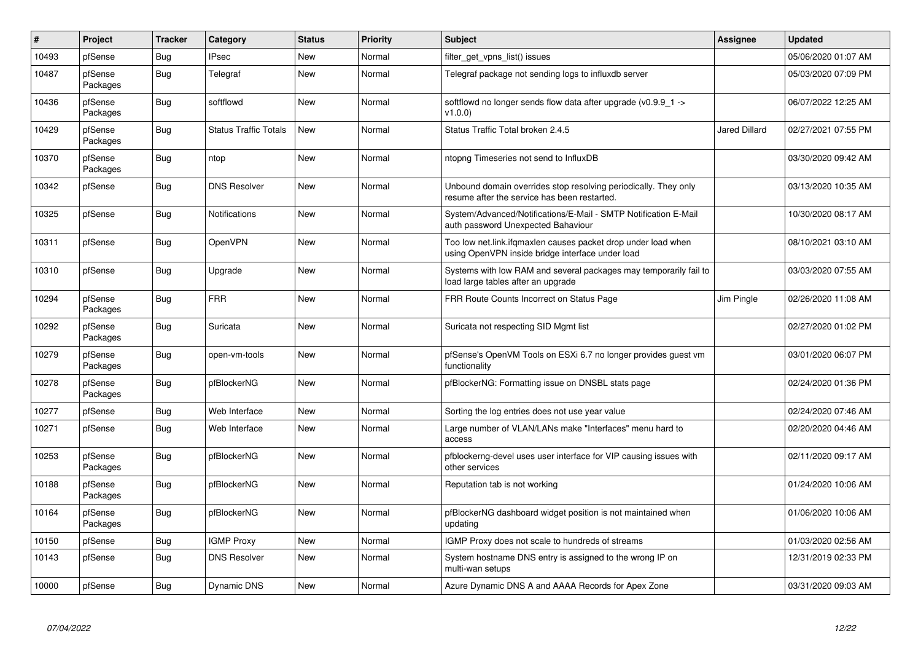| $\vert$ # | Project             | <b>Tracker</b> | Category                     | <b>Status</b> | <b>Priority</b> | <b>Subject</b>                                                                                                    | Assignee             | <b>Updated</b>      |
|-----------|---------------------|----------------|------------------------------|---------------|-----------------|-------------------------------------------------------------------------------------------------------------------|----------------------|---------------------|
| 10493     | pfSense             | <b>Bug</b>     | <b>IPsec</b>                 | New           | Normal          | filter_get_vpns_list() issues                                                                                     |                      | 05/06/2020 01:07 AM |
| 10487     | pfSense<br>Packages | Bug            | Telegraf                     | New           | Normal          | Telegraf package not sending logs to influxdb server                                                              |                      | 05/03/2020 07:09 PM |
| 10436     | pfSense<br>Packages | Bug            | softflowd                    | New           | Normal          | softflowd no longer sends flow data after upgrade ( $v0.9.91 - v$<br>v1.0.0                                       |                      | 06/07/2022 12:25 AM |
| 10429     | pfSense<br>Packages | Bug            | <b>Status Traffic Totals</b> | New           | Normal          | Status Traffic Total broken 2.4.5                                                                                 | <b>Jared Dillard</b> | 02/27/2021 07:55 PM |
| 10370     | pfSense<br>Packages | <b>Bug</b>     | ntop                         | New           | Normal          | ntopng Timeseries not send to InfluxDB                                                                            |                      | 03/30/2020 09:42 AM |
| 10342     | pfSense             | <b>Bug</b>     | <b>DNS Resolver</b>          | New           | Normal          | Unbound domain overrides stop resolving periodically. They only<br>resume after the service has been restarted.   |                      | 03/13/2020 10:35 AM |
| 10325     | pfSense             | Bug            | Notifications                | New           | Normal          | System/Advanced/Notifications/E-Mail - SMTP Notification E-Mail<br>auth password Unexpected Bahaviour             |                      | 10/30/2020 08:17 AM |
| 10311     | pfSense             | Bug            | OpenVPN                      | <b>New</b>    | Normal          | Too low net.link.ifgmaxlen causes packet drop under load when<br>using OpenVPN inside bridge interface under load |                      | 08/10/2021 03:10 AM |
| 10310     | pfSense             | Bug            | Upgrade                      | New           | Normal          | Systems with low RAM and several packages may temporarily fail to<br>load large tables after an upgrade           |                      | 03/03/2020 07:55 AM |
| 10294     | pfSense<br>Packages | Bug            | <b>FRR</b>                   | <b>New</b>    | Normal          | FRR Route Counts Incorrect on Status Page                                                                         | Jim Pingle           | 02/26/2020 11:08 AM |
| 10292     | pfSense<br>Packages | Bug            | Suricata                     | New           | Normal          | Suricata not respecting SID Mgmt list                                                                             |                      | 02/27/2020 01:02 PM |
| 10279     | pfSense<br>Packages | <b>Bug</b>     | open-vm-tools                | New           | Normal          | pfSense's OpenVM Tools on ESXi 6.7 no longer provides guest vm<br>functionality                                   |                      | 03/01/2020 06:07 PM |
| 10278     | pfSense<br>Packages | <b>Bug</b>     | pfBlockerNG                  | New           | Normal          | pfBlockerNG: Formatting issue on DNSBL stats page                                                                 |                      | 02/24/2020 01:36 PM |
| 10277     | pfSense             | <b>Bug</b>     | Web Interface                | New           | Normal          | Sorting the log entries does not use year value                                                                   |                      | 02/24/2020 07:46 AM |
| 10271     | pfSense             | Bug            | Web Interface                | New           | Normal          | Large number of VLAN/LANs make "Interfaces" menu hard to<br>access                                                |                      | 02/20/2020 04:46 AM |
| 10253     | pfSense<br>Packages | Bug            | pfBlockerNG                  | New           | Normal          | pfblockerng-devel uses user interface for VIP causing issues with<br>other services                               |                      | 02/11/2020 09:17 AM |
| 10188     | pfSense<br>Packages | Bug            | pfBlockerNG                  | New           | Normal          | Reputation tab is not working                                                                                     |                      | 01/24/2020 10:06 AM |
| 10164     | pfSense<br>Packages | Bug            | pfBlockerNG                  | New           | Normal          | pfBlockerNG dashboard widget position is not maintained when<br>updating                                          |                      | 01/06/2020 10:06 AM |
| 10150     | pfSense             | <b>Bug</b>     | <b>IGMP Proxy</b>            | New           | Normal          | IGMP Proxy does not scale to hundreds of streams                                                                  |                      | 01/03/2020 02:56 AM |
| 10143     | pfSense             | Bug            | <b>DNS Resolver</b>          | New           | Normal          | System hostname DNS entry is assigned to the wrong IP on<br>multi-wan setups                                      |                      | 12/31/2019 02:33 PM |
| 10000     | pfSense             | Bug            | <b>Dynamic DNS</b>           | New           | Normal          | Azure Dynamic DNS A and AAAA Records for Apex Zone                                                                |                      | 03/31/2020 09:03 AM |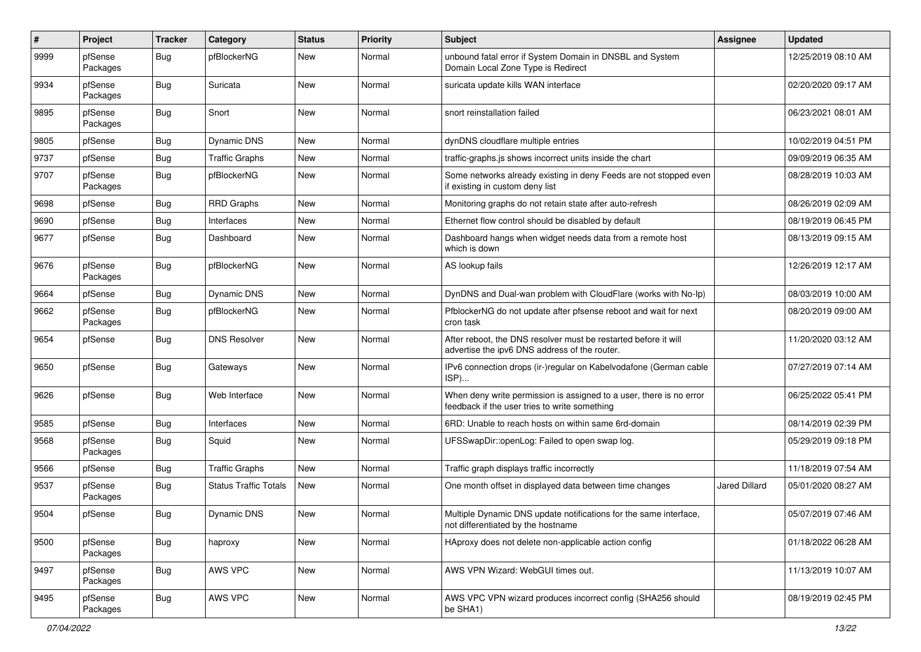| $\sharp$ | Project             | <b>Tracker</b> | Category                     | <b>Status</b> | <b>Priority</b> | <b>Subject</b>                                                                                                       | Assignee             | <b>Updated</b>      |
|----------|---------------------|----------------|------------------------------|---------------|-----------------|----------------------------------------------------------------------------------------------------------------------|----------------------|---------------------|
| 9999     | pfSense<br>Packages | Bug            | pfBlockerNG                  | New           | Normal          | unbound fatal error if System Domain in DNSBL and System<br>Domain Local Zone Type is Redirect                       |                      | 12/25/2019 08:10 AM |
| 9934     | pfSense<br>Packages | Bug            | Suricata                     | New           | Normal          | suricata update kills WAN interface                                                                                  |                      | 02/20/2020 09:17 AM |
| 9895     | pfSense<br>Packages | Bug            | Snort                        | New           | Normal          | snort reinstallation failed                                                                                          |                      | 06/23/2021 08:01 AM |
| 9805     | pfSense             | Bug            | Dynamic DNS                  | New           | Normal          | dynDNS cloudflare multiple entries                                                                                   |                      | 10/02/2019 04:51 PM |
| 9737     | pfSense             | Bug            | <b>Traffic Graphs</b>        | New           | Normal          | traffic-graphs.js shows incorrect units inside the chart                                                             |                      | 09/09/2019 06:35 AM |
| 9707     | pfSense<br>Packages | Bug            | pfBlockerNG                  | New           | Normal          | Some networks already existing in deny Feeds are not stopped even<br>if existing in custom deny list                 |                      | 08/28/2019 10:03 AM |
| 9698     | pfSense             | Bug            | <b>RRD Graphs</b>            | New           | Normal          | Monitoring graphs do not retain state after auto-refresh                                                             |                      | 08/26/2019 02:09 AM |
| 9690     | pfSense             | Bug            | Interfaces                   | New           | Normal          | Ethernet flow control should be disabled by default                                                                  |                      | 08/19/2019 06:45 PM |
| 9677     | pfSense             | Bug            | Dashboard                    | New           | Normal          | Dashboard hangs when widget needs data from a remote host<br>which is down                                           |                      | 08/13/2019 09:15 AM |
| 9676     | pfSense<br>Packages | Bug            | pfBlockerNG                  | New           | Normal          | AS lookup fails                                                                                                      |                      | 12/26/2019 12:17 AM |
| 9664     | pfSense             | Bug            | Dynamic DNS                  | New           | Normal          | DynDNS and Dual-wan problem with CloudFlare (works with No-Ip)                                                       |                      | 08/03/2019 10:00 AM |
| 9662     | pfSense<br>Packages | Bug            | pfBlockerNG                  | New           | Normal          | PfblockerNG do not update after pfsense reboot and wait for next<br>cron task                                        |                      | 08/20/2019 09:00 AM |
| 9654     | pfSense             | Bug            | <b>DNS Resolver</b>          | New           | Normal          | After reboot, the DNS resolver must be restarted before it will<br>advertise the ipv6 DNS address of the router.     |                      | 11/20/2020 03:12 AM |
| 9650     | pfSense             | Bug            | Gateways                     | New           | Normal          | IPv6 connection drops (ir-)regular on Kabelvodafone (German cable<br>ISP)                                            |                      | 07/27/2019 07:14 AM |
| 9626     | pfSense             | Bug            | Web Interface                | New           | Normal          | When deny write permission is assigned to a user, there is no error<br>feedback if the user tries to write something |                      | 06/25/2022 05:41 PM |
| 9585     | pfSense             | Bug            | Interfaces                   | New           | Normal          | 6RD: Unable to reach hosts on within same 6rd-domain                                                                 |                      | 08/14/2019 02:39 PM |
| 9568     | pfSense<br>Packages | Bug            | Squid                        | New           | Normal          | UFSSwapDir::openLog: Failed to open swap log.                                                                        |                      | 05/29/2019 09:18 PM |
| 9566     | pfSense             | Bug            | <b>Traffic Graphs</b>        | New           | Normal          | Traffic graph displays traffic incorrectly                                                                           |                      | 11/18/2019 07:54 AM |
| 9537     | pfSense<br>Packages | Bug            | <b>Status Traffic Totals</b> | New           | Normal          | One month offset in displayed data between time changes                                                              | <b>Jared Dillard</b> | 05/01/2020 08:27 AM |
| 9504     | pfSense             | Bug            | <b>Dynamic DNS</b>           | New           | Normal          | Multiple Dynamic DNS update notifications for the same interface,<br>not differentiated by the hostname              |                      | 05/07/2019 07:46 AM |
| 9500     | pfSense<br>Packages | Bug            | haproxy                      | New           | Normal          | HAproxy does not delete non-applicable action config                                                                 |                      | 01/18/2022 06:28 AM |
| 9497     | pfSense<br>Packages | Bug            | AWS VPC                      | New           | Normal          | AWS VPN Wizard: WebGUI times out.                                                                                    |                      | 11/13/2019 10:07 AM |
| 9495     | pfSense<br>Packages | <b>Bug</b>     | AWS VPC                      | New           | Normal          | AWS VPC VPN wizard produces incorrect config (SHA256 should<br>be SHA1)                                              |                      | 08/19/2019 02:45 PM |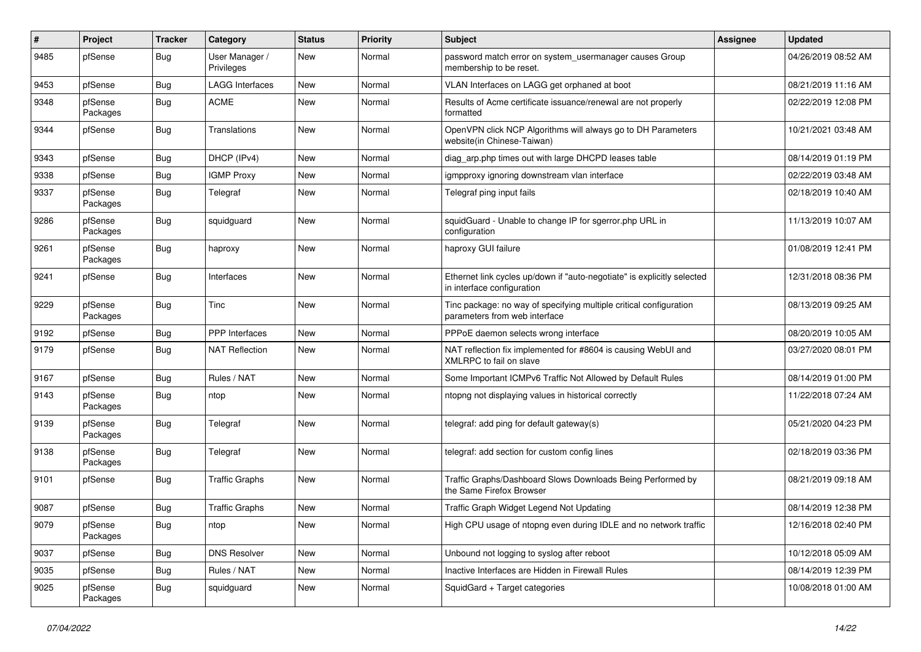| $\#$ | Project             | <b>Tracker</b> | Category                     | <b>Status</b> | <b>Priority</b> | Subject                                                                                               | Assignee | <b>Updated</b>      |
|------|---------------------|----------------|------------------------------|---------------|-----------------|-------------------------------------------------------------------------------------------------------|----------|---------------------|
| 9485 | pfSense             | Bug            | User Manager /<br>Privileges | New           | Normal          | password match error on system usermanager causes Group<br>membership to be reset.                    |          | 04/26/2019 08:52 AM |
| 9453 | pfSense             | Bug            | <b>LAGG Interfaces</b>       | New           | Normal          | VLAN Interfaces on LAGG get orphaned at boot                                                          |          | 08/21/2019 11:16 AM |
| 9348 | pfSense<br>Packages | Bug            | <b>ACME</b>                  | New           | Normal          | Results of Acme certificate issuance/renewal are not properly<br>formatted                            |          | 02/22/2019 12:08 PM |
| 9344 | pfSense             | Bug            | Translations                 | New           | Normal          | OpenVPN click NCP Algorithms will always go to DH Parameters<br>website(in Chinese-Taiwan)            |          | 10/21/2021 03:48 AM |
| 9343 | pfSense             | Bug            | DHCP (IPv4)                  | <b>New</b>    | Normal          | diag_arp.php times out with large DHCPD leases table                                                  |          | 08/14/2019 01:19 PM |
| 9338 | pfSense             | Bug            | <b>IGMP Proxy</b>            | New           | Normal          | igmpproxy ignoring downstream vlan interface                                                          |          | 02/22/2019 03:48 AM |
| 9337 | pfSense<br>Packages | Bug            | Telegraf                     | New           | Normal          | Telegraf ping input fails                                                                             |          | 02/18/2019 10:40 AM |
| 9286 | pfSense<br>Packages | Bug            | squidguard                   | New           | Normal          | squidGuard - Unable to change IP for sgerror.php URL in<br>configuration                              |          | 11/13/2019 10:07 AM |
| 9261 | pfSense<br>Packages | Bug            | haproxy                      | New           | Normal          | haproxy GUI failure                                                                                   |          | 01/08/2019 12:41 PM |
| 9241 | pfSense             | Bug            | Interfaces                   | New           | Normal          | Ethernet link cycles up/down if "auto-negotiate" is explicitly selected<br>in interface configuration |          | 12/31/2018 08:36 PM |
| 9229 | pfSense<br>Packages | Bug            | Tinc                         | New           | Normal          | Tinc package: no way of specifying multiple critical configuration<br>parameters from web interface   |          | 08/13/2019 09:25 AM |
| 9192 | pfSense             | Bug            | PPP Interfaces               | New           | Normal          | PPPoE daemon selects wrong interface                                                                  |          | 08/20/2019 10:05 AM |
| 9179 | pfSense             | Bug            | <b>NAT Reflection</b>        | New           | Normal          | NAT reflection fix implemented for #8604 is causing WebUI and<br>XMLRPC to fail on slave              |          | 03/27/2020 08:01 PM |
| 9167 | pfSense             | Bug            | Rules / NAT                  | New           | Normal          | Some Important ICMPv6 Traffic Not Allowed by Default Rules                                            |          | 08/14/2019 01:00 PM |
| 9143 | pfSense<br>Packages | <b>Bug</b>     | ntop                         | New           | Normal          | ntopng not displaying values in historical correctly                                                  |          | 11/22/2018 07:24 AM |
| 9139 | pfSense<br>Packages | Bug            | Telegraf                     | New           | Normal          | telegraf: add ping for default gateway(s)                                                             |          | 05/21/2020 04:23 PM |
| 9138 | pfSense<br>Packages | Bug            | Telegraf                     | New           | Normal          | telegraf: add section for custom config lines                                                         |          | 02/18/2019 03:36 PM |
| 9101 | pfSense             | Bug            | <b>Traffic Graphs</b>        | New           | Normal          | Traffic Graphs/Dashboard Slows Downloads Being Performed by<br>the Same Firefox Browser               |          | 08/21/2019 09:18 AM |
| 9087 | pfSense             | <b>Bug</b>     | <b>Traffic Graphs</b>        | New           | Normal          | Traffic Graph Widget Legend Not Updating                                                              |          | 08/14/2019 12:38 PM |
| 9079 | pfSense<br>Packages | <b>Bug</b>     | ntop                         | New           | Normal          | High CPU usage of ntopng even during IDLE and no network traffic                                      |          | 12/16/2018 02:40 PM |
| 9037 | pfSense             | Bug            | <b>DNS Resolver</b>          | New           | Normal          | Unbound not logging to syslog after reboot                                                            |          | 10/12/2018 05:09 AM |
| 9035 | pfSense             | Bug            | Rules / NAT                  | New           | Normal          | Inactive Interfaces are Hidden in Firewall Rules                                                      |          | 08/14/2019 12:39 PM |
| 9025 | pfSense<br>Packages | <b>Bug</b>     | squidguard                   | New           | Normal          | SquidGard + Target categories                                                                         |          | 10/08/2018 01:00 AM |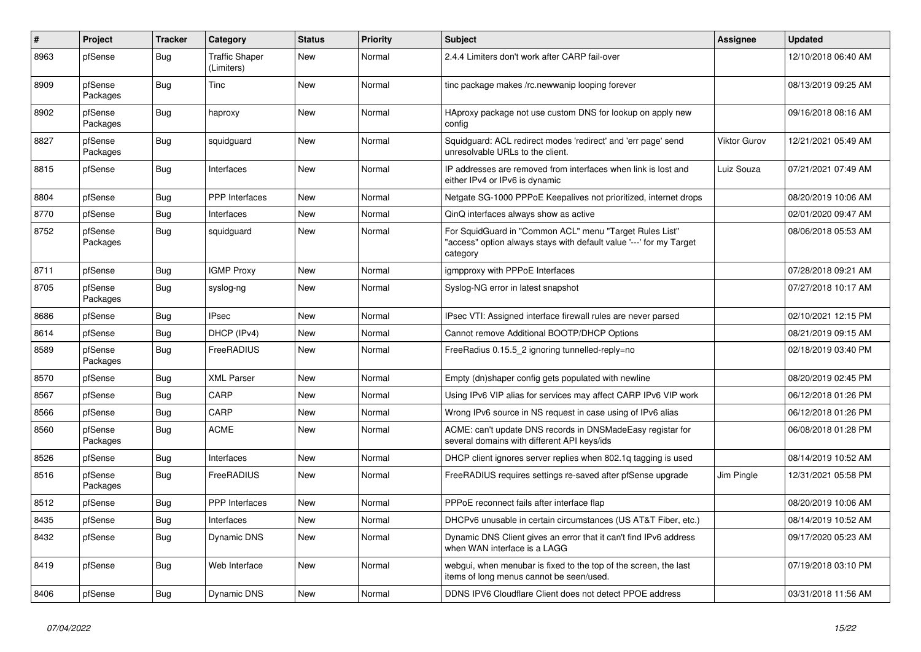| $\vert$ # | Project             | <b>Tracker</b> | Category                            | <b>Status</b> | <b>Priority</b> | <b>Subject</b>                                                                                                                             | Assignee            | <b>Updated</b>      |
|-----------|---------------------|----------------|-------------------------------------|---------------|-----------------|--------------------------------------------------------------------------------------------------------------------------------------------|---------------------|---------------------|
| 8963      | pfSense             | Bug            | <b>Traffic Shaper</b><br>(Limiters) | New           | Normal          | 2.4.4 Limiters don't work after CARP fail-over                                                                                             |                     | 12/10/2018 06:40 AM |
| 8909      | pfSense<br>Packages | Bug            | Tinc                                | <b>New</b>    | Normal          | tinc package makes /rc.newwanip looping forever                                                                                            |                     | 08/13/2019 09:25 AM |
| 8902      | pfSense<br>Packages | Bug            | haproxy                             | <b>New</b>    | Normal          | HAproxy package not use custom DNS for lookup on apply new<br>config                                                                       |                     | 09/16/2018 08:16 AM |
| 8827      | pfSense<br>Packages | Bug            | squidguard                          | New           | Normal          | Squidguard: ACL redirect modes 'redirect' and 'err page' send<br>unresolvable URLs to the client.                                          | <b>Viktor Gurov</b> | 12/21/2021 05:49 AM |
| 8815      | pfSense             | <b>Bug</b>     | Interfaces                          | <b>New</b>    | Normal          | IP addresses are removed from interfaces when link is lost and<br>either IPv4 or IPv6 is dynamic                                           | Luiz Souza          | 07/21/2021 07:49 AM |
| 8804      | pfSense             | Bug            | <b>PPP</b> Interfaces               | <b>New</b>    | Normal          | Netgate SG-1000 PPPoE Keepalives not prioritized, internet drops                                                                           |                     | 08/20/2019 10:06 AM |
| 8770      | pfSense             | Bug            | Interfaces                          | New           | Normal          | QinQ interfaces always show as active                                                                                                      |                     | 02/01/2020 09:47 AM |
| 8752      | pfSense<br>Packages | Bug            | squidguard                          | New           | Normal          | For SquidGuard in "Common ACL" menu "Target Rules List"<br>"access" option always stays with default value '---' for my Target<br>category |                     | 08/06/2018 05:53 AM |
| 8711      | pfSense             | Bug            | <b>IGMP Proxy</b>                   | New           | Normal          | igmpproxy with PPPoE Interfaces                                                                                                            |                     | 07/28/2018 09:21 AM |
| 8705      | pfSense<br>Packages | Bug            | syslog-ng                           | New           | Normal          | Syslog-NG error in latest snapshot                                                                                                         |                     | 07/27/2018 10:17 AM |
| 8686      | pfSense             | Bug            | <b>IPsec</b>                        | <b>New</b>    | Normal          | IPsec VTI: Assigned interface firewall rules are never parsed                                                                              |                     | 02/10/2021 12:15 PM |
| 8614      | pfSense             | Bug            | DHCP (IPv4)                         | <b>New</b>    | Normal          | Cannot remove Additional BOOTP/DHCP Options                                                                                                |                     | 08/21/2019 09:15 AM |
| 8589      | pfSense<br>Packages | Bug            | FreeRADIUS                          | New           | Normal          | FreeRadius 0.15.5 2 ignoring tunnelled-reply=no                                                                                            |                     | 02/18/2019 03:40 PM |
| 8570      | pfSense             | Bug            | <b>XML Parser</b>                   | <b>New</b>    | Normal          | Empty (dn)shaper config gets populated with newline                                                                                        |                     | 08/20/2019 02:45 PM |
| 8567      | pfSense             | Bug            | CARP                                | <b>New</b>    | Normal          | Using IPv6 VIP alias for services may affect CARP IPv6 VIP work                                                                            |                     | 06/12/2018 01:26 PM |
| 8566      | pfSense             | Bug            | CARP                                | New           | Normal          | Wrong IPv6 source in NS request in case using of IPv6 alias                                                                                |                     | 06/12/2018 01:26 PM |
| 8560      | pfSense<br>Packages | Bug            | <b>ACME</b>                         | <b>New</b>    | Normal          | ACME: can't update DNS records in DNSMadeEasy registar for<br>several domains with different API keys/ids                                  |                     | 06/08/2018 01:28 PM |
| 8526      | pfSense             | Bug            | Interfaces                          | New           | Normal          | DHCP client ignores server replies when 802.1q tagging is used                                                                             |                     | 08/14/2019 10:52 AM |
| 8516      | pfSense<br>Packages | <b>Bug</b>     | FreeRADIUS                          | <b>New</b>    | Normal          | FreeRADIUS requires settings re-saved after pfSense upgrade                                                                                | Jim Pingle          | 12/31/2021 05:58 PM |
| 8512      | pfSense             | Bug            | PPP Interfaces                      | New           | Normal          | PPPoE reconnect fails after interface flap                                                                                                 |                     | 08/20/2019 10:06 AM |
| 8435      | pfSense             | Bug            | Interfaces                          | New           | Normal          | DHCPv6 unusable in certain circumstances (US AT&T Fiber, etc.)                                                                             |                     | 08/14/2019 10:52 AM |
| 8432      | pfSense             | Bug            | Dynamic DNS                         | New           | Normal          | Dynamic DNS Client gives an error that it can't find IPv6 address<br>when WAN interface is a LAGG                                          |                     | 09/17/2020 05:23 AM |
| 8419      | pfSense             | <b>Bug</b>     | Web Interface                       | <b>New</b>    | Normal          | webgui, when menubar is fixed to the top of the screen, the last<br>items of long menus cannot be seen/used.                               |                     | 07/19/2018 03:10 PM |
| 8406      | pfSense             | <b>Bug</b>     | Dynamic DNS                         | New           | Normal          | DDNS IPV6 Cloudflare Client does not detect PPOE address                                                                                   |                     | 03/31/2018 11:56 AM |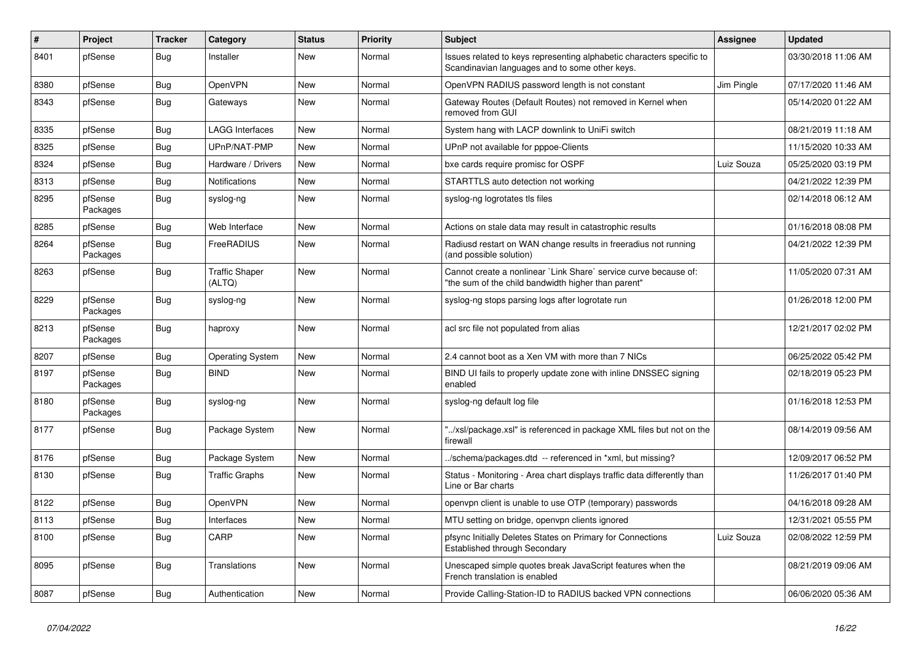| #    | Project             | <b>Tracker</b> | Category                        | <b>Status</b> | <b>Priority</b> | <b>Subject</b>                                                                                                          | Assignee   | <b>Updated</b>      |
|------|---------------------|----------------|---------------------------------|---------------|-----------------|-------------------------------------------------------------------------------------------------------------------------|------------|---------------------|
| 8401 | pfSense             | Bug            | Installer                       | <b>New</b>    | Normal          | Issues related to keys representing alphabetic characters specific to<br>Scandinavian languages and to some other keys. |            | 03/30/2018 11:06 AM |
| 8380 | pfSense             | Bug            | <b>OpenVPN</b>                  | New           | Normal          | OpenVPN RADIUS password length is not constant                                                                          | Jim Pingle | 07/17/2020 11:46 AM |
| 8343 | pfSense             | Bug            | Gateways                        | New           | Normal          | Gateway Routes (Default Routes) not removed in Kernel when<br>removed from GUI                                          |            | 05/14/2020 01:22 AM |
| 8335 | pfSense             | Bug            | LAGG Interfaces                 | New           | Normal          | System hang with LACP downlink to UniFi switch                                                                          |            | 08/21/2019 11:18 AM |
| 8325 | pfSense             | Bug            | UPnP/NAT-PMP                    | <b>New</b>    | Normal          | UPnP not available for pppoe-Clients                                                                                    |            | 11/15/2020 10:33 AM |
| 8324 | pfSense             | Bug            | Hardware / Drivers              | New           | Normal          | bxe cards require promisc for OSPF                                                                                      | Luiz Souza | 05/25/2020 03:19 PM |
| 8313 | pfSense             | Bug            | Notifications                   | New           | Normal          | STARTTLS auto detection not working                                                                                     |            | 04/21/2022 12:39 PM |
| 8295 | pfSense<br>Packages | Bug            | syslog-ng                       | <b>New</b>    | Normal          | syslog-ng logrotates tls files                                                                                          |            | 02/14/2018 06:12 AM |
| 8285 | pfSense             | <b>Bug</b>     | Web Interface                   | <b>New</b>    | Normal          | Actions on stale data may result in catastrophic results                                                                |            | 01/16/2018 08:08 PM |
| 8264 | pfSense<br>Packages | <b>Bug</b>     | FreeRADIUS                      | <b>New</b>    | Normal          | Radiusd restart on WAN change results in freeradius not running<br>(and possible solution)                              |            | 04/21/2022 12:39 PM |
| 8263 | pfSense             | Bug            | <b>Traffic Shaper</b><br>(ALTQ) | <b>New</b>    | Normal          | Cannot create a nonlinear `Link Share` service curve because of:<br>'the sum of the child bandwidth higher than parent" |            | 11/05/2020 07:31 AM |
| 8229 | pfSense<br>Packages | Bug            | syslog-ng                       | New           | Normal          | syslog-ng stops parsing logs after logrotate run                                                                        |            | 01/26/2018 12:00 PM |
| 8213 | pfSense<br>Packages | Bug            | haproxy                         | New           | Normal          | acl src file not populated from alias                                                                                   |            | 12/21/2017 02:02 PM |
| 8207 | pfSense             | Bug            | <b>Operating System</b>         | New           | Normal          | 2.4 cannot boot as a Xen VM with more than 7 NICs                                                                       |            | 06/25/2022 05:42 PM |
| 8197 | pfSense<br>Packages | <b>Bug</b>     | <b>BIND</b>                     | New           | Normal          | BIND UI fails to properly update zone with inline DNSSEC signing<br>enabled                                             |            | 02/18/2019 05:23 PM |
| 8180 | pfSense<br>Packages | <b>Bug</b>     | syslog-ng                       | <b>New</b>    | Normal          | syslog-ng default log file                                                                                              |            | 01/16/2018 12:53 PM |
| 8177 | pfSense             | Bug            | Package System                  | New           | Normal          | '/xsl/package.xsl" is referenced in package XML files but not on the<br>firewall                                        |            | 08/14/2019 09:56 AM |
| 8176 | pfSense             | <b>Bug</b>     | Package System                  | New           | Normal          | ./schema/packages.dtd -- referenced in *xml, but missing?                                                               |            | 12/09/2017 06:52 PM |
| 8130 | pfSense             | <b>Bug</b>     | <b>Traffic Graphs</b>           | New           | Normal          | Status - Monitoring - Area chart displays traffic data differently than<br>Line or Bar charts                           |            | 11/26/2017 01:40 PM |
| 8122 | pfSense             | Bug            | OpenVPN                         | <b>New</b>    | Normal          | openypn client is unable to use OTP (temporary) passwords                                                               |            | 04/16/2018 09:28 AM |
| 8113 | pfSense             | Bug            | Interfaces                      | New           | Normal          | MTU setting on bridge, openvpn clients ignored                                                                          |            | 12/31/2021 05:55 PM |
| 8100 | pfSense             | Bug            | CARP                            | <b>New</b>    | Normal          | pfsync Initially Deletes States on Primary for Connections<br><b>Established through Secondary</b>                      | Luiz Souza | 02/08/2022 12:59 PM |
| 8095 | pfSense             | Bug            | <b>Translations</b>             | New           | Normal          | Unescaped simple quotes break JavaScript features when the<br>French translation is enabled                             |            | 08/21/2019 09:06 AM |
| 8087 | pfSense             | Bug            | Authentication                  | New           | Normal          | Provide Calling-Station-ID to RADIUS backed VPN connections                                                             |            | 06/06/2020 05:36 AM |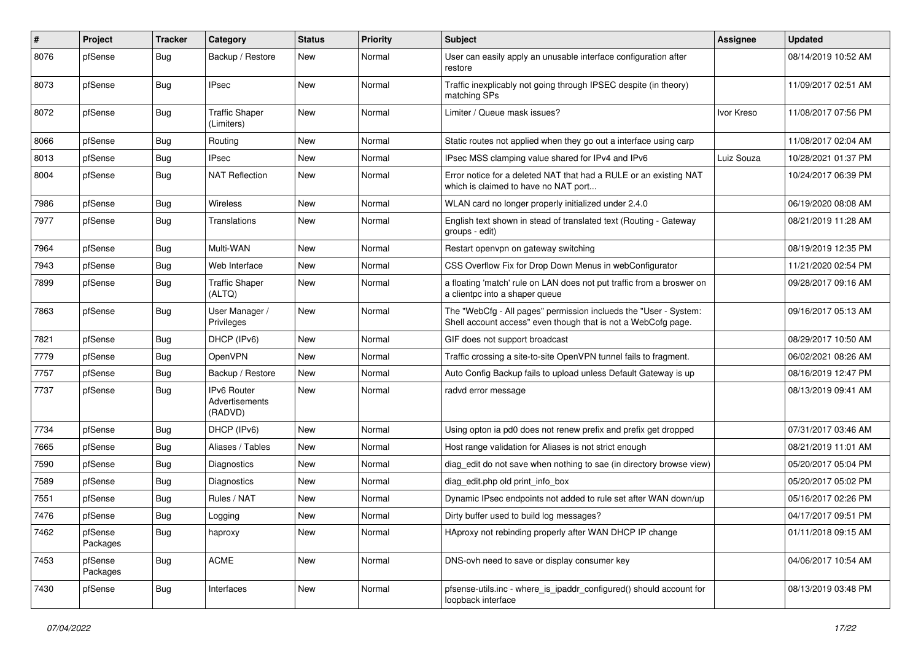| $\sharp$ | Project             | <b>Tracker</b> | Category                                 | <b>Status</b> | <b>Priority</b> | Subject                                                                                                                           | Assignee   | <b>Updated</b>      |
|----------|---------------------|----------------|------------------------------------------|---------------|-----------------|-----------------------------------------------------------------------------------------------------------------------------------|------------|---------------------|
| 8076     | pfSense             | Bug            | Backup / Restore                         | New           | Normal          | User can easily apply an unusable interface configuration after<br>restore                                                        |            | 08/14/2019 10:52 AM |
| 8073     | pfSense             | Bug            | <b>IPsec</b>                             | New           | Normal          | Traffic inexplicably not going through IPSEC despite (in theory)<br>matching SPs                                                  |            | 11/09/2017 02:51 AM |
| 8072     | pfSense             | Bug            | <b>Traffic Shaper</b><br>(Limiters)      | New           | Normal          | Limiter / Queue mask issues?                                                                                                      | Ivor Kreso | 11/08/2017 07:56 PM |
| 8066     | pfSense             | Bug            | Routing                                  | New           | Normal          | Static routes not applied when they go out a interface using carp                                                                 |            | 11/08/2017 02:04 AM |
| 8013     | pfSense             | Bug            | <b>IPsec</b>                             | New           | Normal          | IPsec MSS clamping value shared for IPv4 and IPv6                                                                                 | Luiz Souza | 10/28/2021 01:37 PM |
| 8004     | pfSense             | Bug            | <b>NAT Reflection</b>                    | New           | Normal          | Error notice for a deleted NAT that had a RULE or an existing NAT<br>which is claimed to have no NAT port                         |            | 10/24/2017 06:39 PM |
| 7986     | pfSense             | Bug            | Wireless                                 | New           | Normal          | WLAN card no longer properly initialized under 2.4.0                                                                              |            | 06/19/2020 08:08 AM |
| 7977     | pfSense             | Bug            | Translations                             | New           | Normal          | English text shown in stead of translated text (Routing - Gateway<br>groups - edit)                                               |            | 08/21/2019 11:28 AM |
| 7964     | pfSense             | Bug            | Multi-WAN                                | New           | Normal          | Restart openvpn on gateway switching                                                                                              |            | 08/19/2019 12:35 PM |
| 7943     | pfSense             | Bug            | Web Interface                            | New           | Normal          | CSS Overflow Fix for Drop Down Menus in webConfigurator                                                                           |            | 11/21/2020 02:54 PM |
| 7899     | pfSense             | Bug            | <b>Traffic Shaper</b><br>(ALTQ)          | New           | Normal          | a floating 'match' rule on LAN does not put traffic from a broswer on<br>a clientpc into a shaper queue                           |            | 09/28/2017 09:16 AM |
| 7863     | pfSense             | Bug            | User Manager /<br>Privileges             | New           | Normal          | The "WebCfg - All pages" permission inclueds the "User - System:<br>Shell account access" even though that is not a WebCofg page. |            | 09/16/2017 05:13 AM |
| 7821     | pfSense             | Bug            | DHCP (IPv6)                              | New           | Normal          | GIF does not support broadcast                                                                                                    |            | 08/29/2017 10:50 AM |
| 7779     | pfSense             | Bug            | OpenVPN                                  | New           | Normal          | Traffic crossing a site-to-site OpenVPN tunnel fails to fragment.                                                                 |            | 06/02/2021 08:26 AM |
| 7757     | pfSense             | Bug            | Backup / Restore                         | New           | Normal          | Auto Config Backup fails to upload unless Default Gateway is up                                                                   |            | 08/16/2019 12:47 PM |
| 7737     | pfSense             | <b>Bug</b>     | IPv6 Router<br>Advertisements<br>(RADVD) | New           | Normal          | radvd error message                                                                                                               |            | 08/13/2019 09:41 AM |
| 7734     | pfSense             | Bug            | DHCP (IPv6)                              | New           | Normal          | Using opton ia pd0 does not renew prefix and prefix get dropped                                                                   |            | 07/31/2017 03:46 AM |
| 7665     | pfSense             | <b>Bug</b>     | Aliases / Tables                         | New           | Normal          | Host range validation for Aliases is not strict enough                                                                            |            | 08/21/2019 11:01 AM |
| 7590     | pfSense             | Bug            | Diagnostics                              | New           | Normal          | diag edit do not save when nothing to sae (in directory browse view)                                                              |            | 05/20/2017 05:04 PM |
| 7589     | pfSense             | <b>Bug</b>     | Diagnostics                              | New           | Normal          | diag edit.php old print info box                                                                                                  |            | 05/20/2017 05:02 PM |
| 7551     | pfSense             | Bug            | Rules / NAT                              | New           | Normal          | Dynamic IPsec endpoints not added to rule set after WAN down/up                                                                   |            | 05/16/2017 02:26 PM |
| 7476     | pfSense             | <b>Bug</b>     | Logging                                  | New           | Normal          | Dirty buffer used to build log messages?                                                                                          |            | 04/17/2017 09:51 PM |
| 7462     | pfSense<br>Packages | Bug            | haproxy                                  | New           | Normal          | HAproxy not rebinding properly after WAN DHCP IP change                                                                           |            | 01/11/2018 09:15 AM |
| 7453     | pfSense<br>Packages | <b>Bug</b>     | ACME                                     | New           | Normal          | DNS-ovh need to save or display consumer key                                                                                      |            | 04/06/2017 10:54 AM |
| 7430     | pfSense             | <b>Bug</b>     | Interfaces                               | New           | Normal          | pfsense-utils.inc - where_is_ipaddr_configured() should account for<br>loopback interface                                         |            | 08/13/2019 03:48 PM |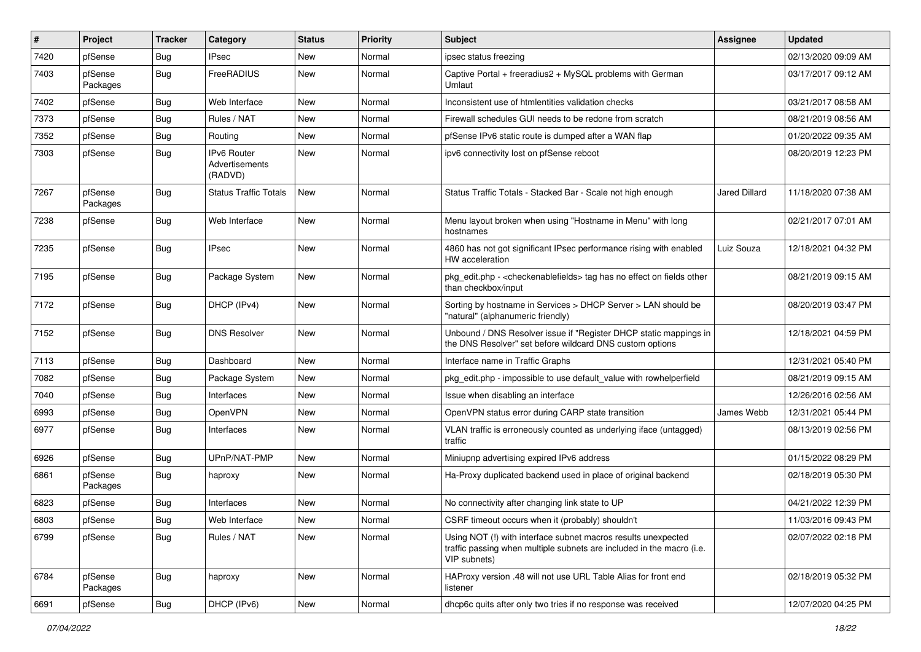| ∦    | Project             | <b>Tracker</b> | Category                                        | <b>Status</b> | Priority | Subject                                                                                                                                                | <b>Assignee</b>      | <b>Updated</b>      |
|------|---------------------|----------------|-------------------------------------------------|---------------|----------|--------------------------------------------------------------------------------------------------------------------------------------------------------|----------------------|---------------------|
| 7420 | pfSense             | Bug            | <b>IPsec</b>                                    | New           | Normal   | ipsec status freezing                                                                                                                                  |                      | 02/13/2020 09:09 AM |
| 7403 | pfSense<br>Packages | Bug            | FreeRADIUS                                      | New           | Normal   | Captive Portal + freeradius2 + MySQL problems with German<br>Umlaut                                                                                    |                      | 03/17/2017 09:12 AM |
| 7402 | pfSense             | Bug            | Web Interface                                   | New           | Normal   | Inconsistent use of htmlentities validation checks                                                                                                     |                      | 03/21/2017 08:58 AM |
| 7373 | pfSense             | Bug            | Rules / NAT                                     | New           | Normal   | Firewall schedules GUI needs to be redone from scratch                                                                                                 |                      | 08/21/2019 08:56 AM |
| 7352 | pfSense             | Bug            | Routing                                         | New           | Normal   | pfSense IPv6 static route is dumped after a WAN flap                                                                                                   |                      | 01/20/2022 09:35 AM |
| 7303 | pfSense             | Bug            | <b>IPv6 Router</b><br>Advertisements<br>(RADVD) | New           | Normal   | ipv6 connectivity lost on pfSense reboot                                                                                                               |                      | 08/20/2019 12:23 PM |
| 7267 | pfSense<br>Packages | Bug            | <b>Status Traffic Totals</b>                    | New           | Normal   | Status Traffic Totals - Stacked Bar - Scale not high enough                                                                                            | <b>Jared Dillard</b> | 11/18/2020 07:38 AM |
| 7238 | pfSense             | Bug            | Web Interface                                   | New           | Normal   | Menu layout broken when using "Hostname in Menu" with long<br>hostnames                                                                                |                      | 02/21/2017 07:01 AM |
| 7235 | pfSense             | Bug            | <b>IPsec</b>                                    | New           | Normal   | 4860 has not got significant IPsec performance rising with enabled<br>HW acceleration                                                                  | Luiz Souza           | 12/18/2021 04:32 PM |
| 7195 | pfSense             | Bug            | Package System                                  | New           | Normal   | pkg_edit.php - <checkenablefields> tag has no effect on fields other<br/>than checkbox/input</checkenablefields>                                       |                      | 08/21/2019 09:15 AM |
| 7172 | pfSense             | Bug            | DHCP (IPv4)                                     | New           | Normal   | Sorting by hostname in Services > DHCP Server > LAN should be<br>"natural" (alphanumeric friendly)                                                     |                      | 08/20/2019 03:47 PM |
| 7152 | pfSense             | Bug            | <b>DNS Resolver</b>                             | New           | Normal   | Unbound / DNS Resolver issue if "Register DHCP static mappings in<br>the DNS Resolver" set before wildcard DNS custom options                          |                      | 12/18/2021 04:59 PM |
| 7113 | pfSense             | Bug            | Dashboard                                       | <b>New</b>    | Normal   | Interface name in Traffic Graphs                                                                                                                       |                      | 12/31/2021 05:40 PM |
| 7082 | pfSense             | Bug            | Package System                                  | New           | Normal   | pkg edit.php - impossible to use default value with rowhelperfield                                                                                     |                      | 08/21/2019 09:15 AM |
| 7040 | pfSense             | Bug            | Interfaces                                      | New           | Normal   | Issue when disabling an interface                                                                                                                      |                      | 12/26/2016 02:56 AM |
| 6993 | pfSense             | Bug            | OpenVPN                                         | New           | Normal   | OpenVPN status error during CARP state transition                                                                                                      | James Webb           | 12/31/2021 05:44 PM |
| 6977 | pfSense             | Bug            | Interfaces                                      | New           | Normal   | VLAN traffic is erroneously counted as underlying iface (untagged)<br>traffic                                                                          |                      | 08/13/2019 02:56 PM |
| 6926 | pfSense             | Bug            | UPnP/NAT-PMP                                    | New           | Normal   | Miniupnp advertising expired IPv6 address                                                                                                              |                      | 01/15/2022 08:29 PM |
| 6861 | pfSense<br>Packages | Bug            | haproxy                                         | New           | Normal   | Ha-Proxy duplicated backend used in place of original backend                                                                                          |                      | 02/18/2019 05:30 PM |
| 6823 | pfSense             | Bug            | Interfaces                                      | New           | Normal   | No connectivity after changing link state to UP                                                                                                        |                      | 04/21/2022 12:39 PM |
| 6803 | pfSense             | Bug            | Web Interface                                   | New           | Normal   | CSRF timeout occurs when it (probably) shouldn't                                                                                                       |                      | 11/03/2016 09:43 PM |
| 6799 | pfSense             | Bug            | Rules / NAT                                     | New           | Normal   | Using NOT (!) with interface subnet macros results unexpected<br>traffic passing when multiple subnets are included in the macro (i.e.<br>VIP subnets) |                      | 02/07/2022 02:18 PM |
| 6784 | pfSense<br>Packages | Bug            | haproxy                                         | New           | Normal   | HAProxy version .48 will not use URL Table Alias for front end<br>listener                                                                             |                      | 02/18/2019 05:32 PM |
| 6691 | pfSense             | Bug            | DHCP (IPv6)                                     | New           | Normal   | dhcp6c quits after only two tries if no response was received                                                                                          |                      | 12/07/2020 04:25 PM |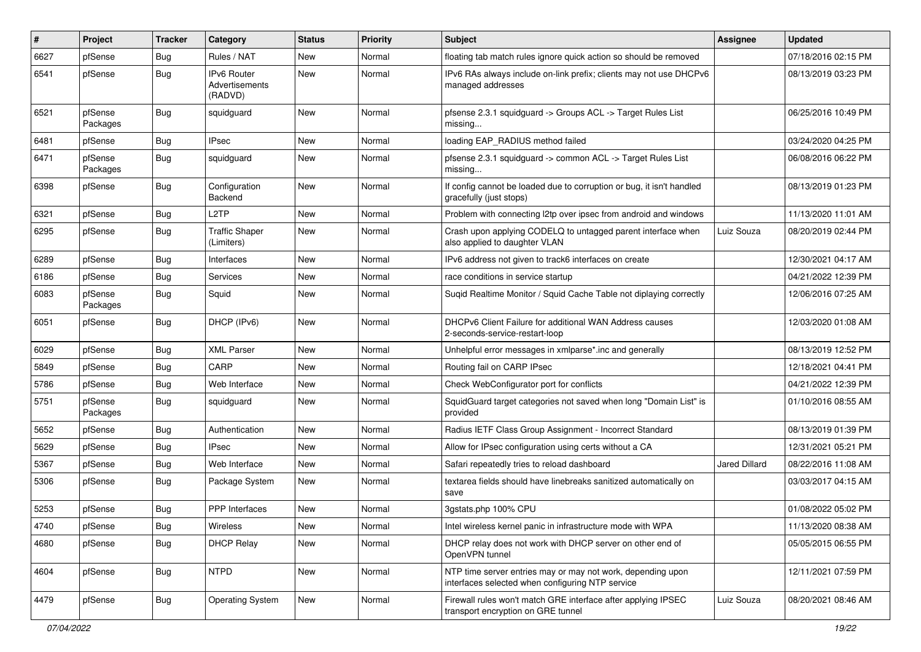| #    | Project             | <b>Tracker</b> | Category                                        | <b>Status</b> | <b>Priority</b> | Subject                                                                                                         | <b>Assignee</b>      | <b>Updated</b>      |
|------|---------------------|----------------|-------------------------------------------------|---------------|-----------------|-----------------------------------------------------------------------------------------------------------------|----------------------|---------------------|
| 6627 | pfSense             | Bug            | Rules / NAT                                     | New           | Normal          | floating tab match rules ignore quick action so should be removed                                               |                      | 07/18/2016 02:15 PM |
| 6541 | pfSense             | Bug            | <b>IPv6 Router</b><br>Advertisements<br>(RADVD) | <b>New</b>    | Normal          | IPv6 RAs always include on-link prefix; clients may not use DHCPv6<br>managed addresses                         |                      | 08/13/2019 03:23 PM |
| 6521 | pfSense<br>Packages | Bug            | squidguard                                      | New           | Normal          | pfsense 2.3.1 squidguard -> Groups ACL -> Target Rules List<br>missing                                          |                      | 06/25/2016 10:49 PM |
| 6481 | pfSense             | Bug            | IPsec                                           | New           | Normal          | loading EAP RADIUS method failed                                                                                |                      | 03/24/2020 04:25 PM |
| 6471 | pfSense<br>Packages | Bug            | squidguard                                      | New           | Normal          | pfsense 2.3.1 squidguard -> common ACL -> Target Rules List<br>missing                                          |                      | 06/08/2016 06:22 PM |
| 6398 | pfSense             | Bug            | Configuration<br>Backend                        | New           | Normal          | If config cannot be loaded due to corruption or bug, it isn't handled<br>gracefully (just stops)                |                      | 08/13/2019 01:23 PM |
| 6321 | pfSense             | Bug            | L <sub>2</sub> TP                               | New           | Normal          | Problem with connecting I2tp over ipsec from android and windows                                                |                      | 11/13/2020 11:01 AM |
| 6295 | pfSense             | Bug            | <b>Traffic Shaper</b><br>(Limiters)             | New           | Normal          | Crash upon applying CODELQ to untagged parent interface when<br>also applied to daughter VLAN                   | Luiz Souza           | 08/20/2019 02:44 PM |
| 6289 | pfSense             | <b>Bug</b>     | Interfaces                                      | New           | Normal          | IPv6 address not given to track6 interfaces on create                                                           |                      | 12/30/2021 04:17 AM |
| 6186 | pfSense             | Bug            | Services                                        | New           | Normal          | race conditions in service startup                                                                              |                      | 04/21/2022 12:39 PM |
| 6083 | pfSense<br>Packages | Bug            | Squid                                           | New           | Normal          | Sugid Realtime Monitor / Squid Cache Table not diplaying correctly                                              |                      | 12/06/2016 07:25 AM |
| 6051 | pfSense             | <b>Bug</b>     | DHCP (IPv6)                                     | <b>New</b>    | Normal          | DHCPv6 Client Failure for additional WAN Address causes<br>2-seconds-service-restart-loop                       |                      | 12/03/2020 01:08 AM |
| 6029 | pfSense             | Bug            | <b>XML Parser</b>                               | New           | Normal          | Unhelpful error messages in xmlparse*.inc and generally                                                         |                      | 08/13/2019 12:52 PM |
| 5849 | pfSense             | Bug            | CARP                                            | New           | Normal          | Routing fail on CARP IPsec                                                                                      |                      | 12/18/2021 04:41 PM |
| 5786 | pfSense             | <b>Bug</b>     | Web Interface                                   | New           | Normal          | Check WebConfigurator port for conflicts                                                                        |                      | 04/21/2022 12:39 PM |
| 5751 | pfSense<br>Packages | Bug            | squidguard                                      | New           | Normal          | SquidGuard target categories not saved when long "Domain List" is<br>provided                                   |                      | 01/10/2016 08:55 AM |
| 5652 | pfSense             | Bug            | Authentication                                  | New           | Normal          | Radius IETF Class Group Assignment - Incorrect Standard                                                         |                      | 08/13/2019 01:39 PM |
| 5629 | pfSense             | Bug            | <b>IPsec</b>                                    | New           | Normal          | Allow for IPsec configuration using certs without a CA                                                          |                      | 12/31/2021 05:21 PM |
| 5367 | pfSense             | Bug            | Web Interface                                   | New           | Normal          | Safari repeatedly tries to reload dashboard                                                                     | <b>Jared Dillard</b> | 08/22/2016 11:08 AM |
| 5306 | pfSense             | <b>Bug</b>     | Package System                                  | New           | Normal          | textarea fields should have linebreaks sanitized automatically on<br>save                                       |                      | 03/03/2017 04:15 AM |
| 5253 | pfSense             | Bug            | <b>PPP</b> Interfaces                           | <b>New</b>    | Normal          | 3gstats.php 100% CPU                                                                                            |                      | 01/08/2022 05:02 PM |
| 4740 | pfSense             | Bug            | Wireless                                        | New           | Normal          | Intel wireless kernel panic in infrastructure mode with WPA                                                     |                      | 11/13/2020 08:38 AM |
| 4680 | pfSense             | Bug            | <b>DHCP Relay</b>                               | New           | Normal          | DHCP relay does not work with DHCP server on other end of<br>OpenVPN tunnel                                     |                      | 05/05/2015 06:55 PM |
| 4604 | pfSense             | Bug            | <b>NTPD</b>                                     | New           | Normal          | NTP time server entries may or may not work, depending upon<br>interfaces selected when configuring NTP service |                      | 12/11/2021 07:59 PM |
| 4479 | pfSense             | Bug            | <b>Operating System</b>                         | New           | Normal          | Firewall rules won't match GRE interface after applying IPSEC<br>transport encryption on GRE tunnel             | Luiz Souza           | 08/20/2021 08:46 AM |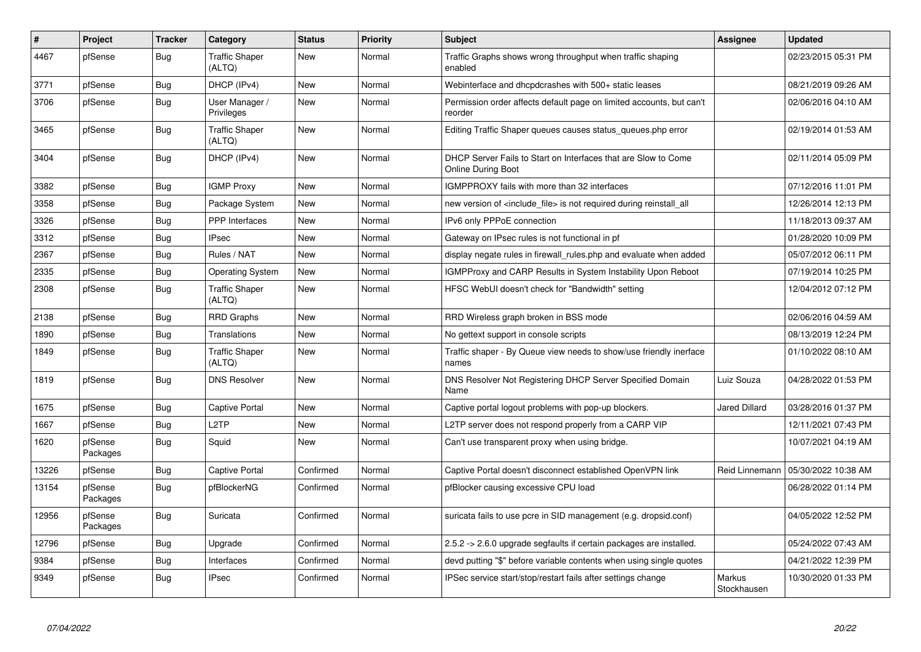| #     | Project             | <b>Tracker</b> | Category                        | <b>Status</b> | Priority | <b>Subject</b>                                                                       | <b>Assignee</b>              | <b>Updated</b>      |
|-------|---------------------|----------------|---------------------------------|---------------|----------|--------------------------------------------------------------------------------------|------------------------------|---------------------|
| 4467  | pfSense             | Bug            | <b>Traffic Shaper</b><br>(ALTQ) | <b>New</b>    | Normal   | Traffic Graphs shows wrong throughput when traffic shaping<br>enabled                |                              | 02/23/2015 05:31 PM |
| 3771  | pfSense             | Bug            | DHCP (IPv4)                     | New           | Normal   | Webinterface and dhcpdcrashes with 500+ static leases                                |                              | 08/21/2019 09:26 AM |
| 3706  | pfSense             | <b>Bug</b>     | User Manager /<br>Privileges    | New           | Normal   | Permission order affects default page on limited accounts, but can't<br>reorder      |                              | 02/06/2016 04:10 AM |
| 3465  | pfSense             | Bug            | <b>Traffic Shaper</b><br>(ALTQ) | New           | Normal   | Editing Traffic Shaper queues causes status queues.php error                         |                              | 02/19/2014 01:53 AM |
| 3404  | pfSense             | <b>Bug</b>     | DHCP (IPv4)                     | New           | Normal   | DHCP Server Fails to Start on Interfaces that are Slow to Come<br>Online During Boot |                              | 02/11/2014 05:09 PM |
| 3382  | pfSense             | <b>Bug</b>     | <b>IGMP Proxy</b>               | <b>New</b>    | Normal   | IGMPPROXY fails with more than 32 interfaces                                         |                              | 07/12/2016 11:01 PM |
| 3358  | pfSense             | <b>Bug</b>     | Package System                  | New           | Normal   | new version of <include file=""> is not required during reinstall all</include>      |                              | 12/26/2014 12:13 PM |
| 3326  | pfSense             | <b>Bug</b>     | <b>PPP</b> Interfaces           | New           | Normal   | IPv6 only PPPoE connection                                                           |                              | 11/18/2013 09:37 AM |
| 3312  | pfSense             | <b>Bug</b>     | <b>IPsec</b>                    | New           | Normal   | Gateway on IPsec rules is not functional in pf                                       |                              | 01/28/2020 10:09 PM |
| 2367  | pfSense             | <b>Bug</b>     | Rules / NAT                     | New           | Normal   | display negate rules in firewall rules php and evaluate when added                   |                              | 05/07/2012 06:11 PM |
| 2335  | pfSense             | <b>Bug</b>     | <b>Operating System</b>         | New           | Normal   | IGMPProxy and CARP Results in System Instability Upon Reboot                         |                              | 07/19/2014 10:25 PM |
| 2308  | pfSense             | Bug            | Traffic Shaper<br>(ALTQ)        | New           | Normal   | HFSC WebUI doesn't check for "Bandwidth" setting                                     |                              | 12/04/2012 07:12 PM |
| 2138  | pfSense             | <b>Bug</b>     | <b>RRD Graphs</b>               | <b>New</b>    | Normal   | RRD Wireless graph broken in BSS mode                                                |                              | 02/06/2016 04:59 AM |
| 1890  | pfSense             | <b>Bug</b>     | <b>Translations</b>             | New           | Normal   | No gettext support in console scripts                                                |                              | 08/13/2019 12:24 PM |
| 1849  | pfSense             | <b>Bug</b>     | <b>Traffic Shaper</b><br>(ALTQ) | New           | Normal   | Traffic shaper - By Queue view needs to show/use friendly inerface<br>names          |                              | 01/10/2022 08:10 AM |
| 1819  | pfSense             | <b>Bug</b>     | <b>DNS Resolver</b>             | <b>New</b>    | Normal   | DNS Resolver Not Registering DHCP Server Specified Domain<br>Name                    | Luiz Souza                   | 04/28/2022 01:53 PM |
| 1675  | pfSense             | Bug            | <b>Captive Portal</b>           | <b>New</b>    | Normal   | Captive portal logout problems with pop-up blockers.                                 | <b>Jared Dillard</b>         | 03/28/2016 01:37 PM |
| 1667  | pfSense             | <b>Bug</b>     | L2TP                            | <b>New</b>    | Normal   | L2TP server does not respond properly from a CARP VIP                                |                              | 12/11/2021 07:43 PM |
| 1620  | pfSense<br>Packages | <b>Bug</b>     | Squid                           | New           | Normal   | Can't use transparent proxy when using bridge.                                       |                              | 10/07/2021 04:19 AM |
| 13226 | pfSense             | Bug            | Captive Portal                  | Confirmed     | Normal   | Captive Portal doesn't disconnect established OpenVPN link                           | Reid Linnemann               | 05/30/2022 10:38 AM |
| 13154 | pfSense<br>Packages | <b>Bug</b>     | pfBlockerNG                     | Confirmed     | Normal   | pfBlocker causing excessive CPU load                                                 |                              | 06/28/2022 01:14 PM |
| 12956 | pfSense<br>Packages | Bug            | Suricata                        | Confirmed     | Normal   | suricata fails to use pcre in SID management (e.g. dropsid.conf)                     |                              | 04/05/2022 12:52 PM |
| 12796 | pfSense             | Bug            | Upgrade                         | Confirmed     | Normal   | 2.5.2 -> 2.6.0 upgrade segfaults if certain packages are installed.                  |                              | 05/24/2022 07:43 AM |
| 9384  | pfSense             | <b>Bug</b>     | Interfaces                      | Confirmed     | Normal   | devd putting "\$" before variable contents when using single quotes                  |                              | 04/21/2022 12:39 PM |
| 9349  | pfSense             | <b>Bug</b>     | <b>IPsec</b>                    | Confirmed     | Normal   | IPSec service start/stop/restart fails after settings change                         | <b>Markus</b><br>Stockhausen | 10/30/2020 01:33 PM |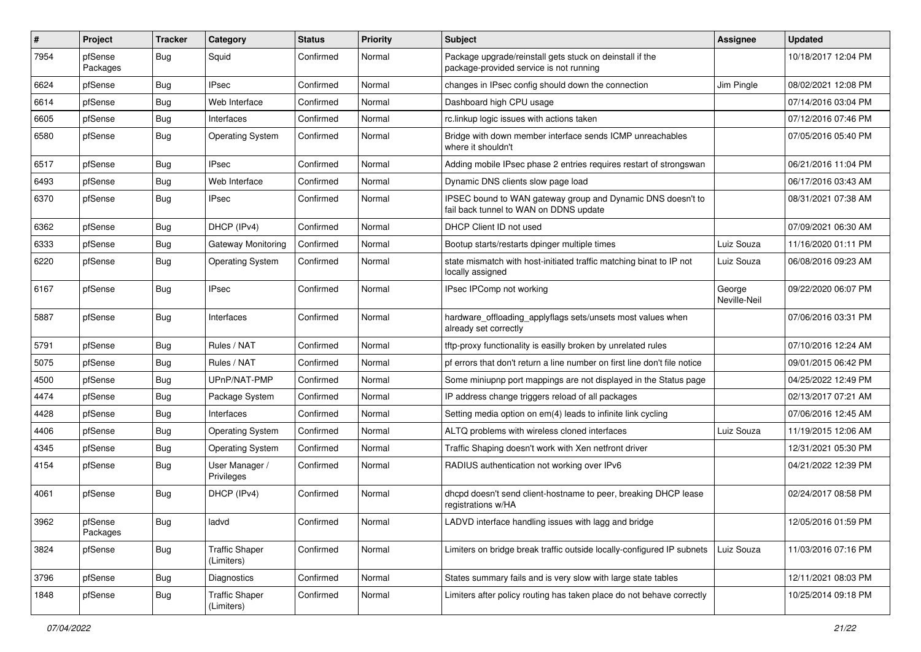| #    | Project             | <b>Tracker</b> | Category                            | <b>Status</b> | Priority | Subject                                                                                               | <b>Assignee</b>        | <b>Updated</b>      |
|------|---------------------|----------------|-------------------------------------|---------------|----------|-------------------------------------------------------------------------------------------------------|------------------------|---------------------|
| 7954 | pfSense<br>Packages | Bug            | Squid                               | Confirmed     | Normal   | Package upgrade/reinstall gets stuck on deinstall if the<br>package-provided service is not running   |                        | 10/18/2017 12:04 PM |
| 6624 | pfSense             | Bug            | <b>IPsec</b>                        | Confirmed     | Normal   | changes in IPsec config should down the connection                                                    | Jim Pingle             | 08/02/2021 12:08 PM |
| 6614 | pfSense             | Bug            | Web Interface                       | Confirmed     | Normal   | Dashboard high CPU usage                                                                              |                        | 07/14/2016 03:04 PM |
| 6605 | pfSense             | Bug            | Interfaces                          | Confirmed     | Normal   | rc.linkup logic issues with actions taken                                                             |                        | 07/12/2016 07:46 PM |
| 6580 | pfSense             | Bug            | <b>Operating System</b>             | Confirmed     | Normal   | Bridge with down member interface sends ICMP unreachables<br>where it shouldn't                       |                        | 07/05/2016 05:40 PM |
| 6517 | pfSense             | Bug            | <b>IPsec</b>                        | Confirmed     | Normal   | Adding mobile IPsec phase 2 entries requires restart of strongswan                                    |                        | 06/21/2016 11:04 PM |
| 6493 | pfSense             | Bug            | Web Interface                       | Confirmed     | Normal   | Dynamic DNS clients slow page load                                                                    |                        | 06/17/2016 03:43 AM |
| 6370 | pfSense             | Bug            | <b>IPsec</b>                        | Confirmed     | Normal   | IPSEC bound to WAN gateway group and Dynamic DNS doesn't to<br>fail back tunnel to WAN on DDNS update |                        | 08/31/2021 07:38 AM |
| 6362 | pfSense             | Bug            | DHCP (IPv4)                         | Confirmed     | Normal   | DHCP Client ID not used                                                                               |                        | 07/09/2021 06:30 AM |
| 6333 | pfSense             | Bug            | Gateway Monitoring                  | Confirmed     | Normal   | Bootup starts/restarts dpinger multiple times                                                         | Luiz Souza             | 11/16/2020 01:11 PM |
| 6220 | pfSense             | Bug            | <b>Operating System</b>             | Confirmed     | Normal   | state mismatch with host-initiated traffic matching binat to IP not<br>locally assigned               | Luiz Souza             | 06/08/2016 09:23 AM |
| 6167 | pfSense             | Bug            | <b>IPsec</b>                        | Confirmed     | Normal   | IPsec IPComp not working                                                                              | George<br>Neville-Neil | 09/22/2020 06:07 PM |
| 5887 | pfSense             | Bug            | Interfaces                          | Confirmed     | Normal   | hardware_offloading_applyflags sets/unsets most values when<br>already set correctly                  |                        | 07/06/2016 03:31 PM |
| 5791 | pfSense             | Bug            | Rules / NAT                         | Confirmed     | Normal   | tftp-proxy functionality is easilly broken by unrelated rules                                         |                        | 07/10/2016 12:24 AM |
| 5075 | pfSense             | Bug            | Rules / NAT                         | Confirmed     | Normal   | pf errors that don't return a line number on first line don't file notice                             |                        | 09/01/2015 06:42 PM |
| 4500 | pfSense             | Bug            | UPnP/NAT-PMP                        | Confirmed     | Normal   | Some miniupnp port mappings are not displayed in the Status page                                      |                        | 04/25/2022 12:49 PM |
| 4474 | pfSense             | Bug            | Package System                      | Confirmed     | Normal   | IP address change triggers reload of all packages                                                     |                        | 02/13/2017 07:21 AM |
| 4428 | pfSense             | Bug            | Interfaces                          | Confirmed     | Normal   | Setting media option on em(4) leads to infinite link cycling                                          |                        | 07/06/2016 12:45 AM |
| 4406 | pfSense             | Bug            | <b>Operating System</b>             | Confirmed     | Normal   | ALTQ problems with wireless cloned interfaces                                                         | Luiz Souza             | 11/19/2015 12:06 AM |
| 4345 | pfSense             | Bug            | <b>Operating System</b>             | Confirmed     | Normal   | Traffic Shaping doesn't work with Xen netfront driver                                                 |                        | 12/31/2021 05:30 PM |
| 4154 | pfSense             | Bug            | User Manager /<br>Privileges        | Confirmed     | Normal   | RADIUS authentication not working over IPv6                                                           |                        | 04/21/2022 12:39 PM |
| 4061 | pfSense             | Bug            | DHCP (IPv4)                         | Confirmed     | Normal   | dhcpd doesn't send client-hostname to peer, breaking DHCP lease<br>registrations w/HA                 |                        | 02/24/2017 08:58 PM |
| 3962 | pfSense<br>Packages | Bug            | ladvd                               | Confirmed     | Normal   | LADVD interface handling issues with lagg and bridge                                                  |                        | 12/05/2016 01:59 PM |
| 3824 | pfSense             | Bug            | <b>Traffic Shaper</b><br>(Limiters) | Confirmed     | Normal   | Limiters on bridge break traffic outside locally-configured IP subnets                                | Luiz Souza             | 11/03/2016 07:16 PM |
| 3796 | pfSense             | Bug            | Diagnostics                         | Confirmed     | Normal   | States summary fails and is very slow with large state tables                                         |                        | 12/11/2021 08:03 PM |
| 1848 | pfSense             | Bug            | <b>Traffic Shaper</b><br>(Limiters) | Confirmed     | Normal   | Limiters after policy routing has taken place do not behave correctly                                 |                        | 10/25/2014 09:18 PM |